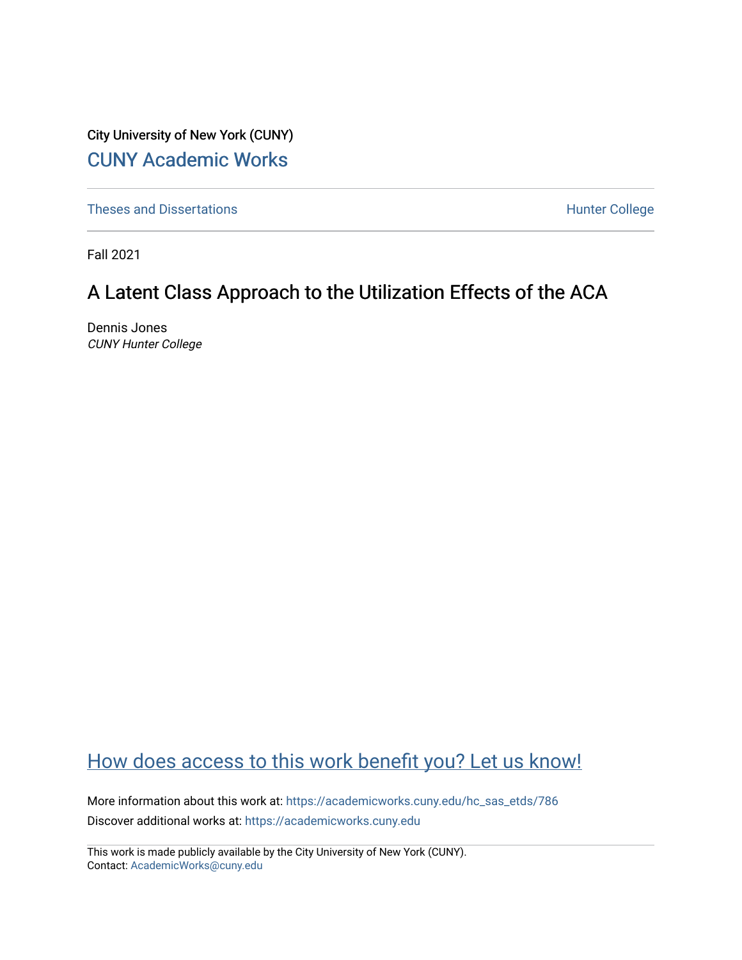City University of New York (CUNY) [CUNY Academic Works](https://academicworks.cuny.edu/) 

[Theses and Dissertations](https://academicworks.cuny.edu/hc_sas_etds) **Hunter College** 

Fall 2021

## A Latent Class Approach to the Utilization Effects of the ACA

Dennis Jones CUNY Hunter College

## [How does access to this work benefit you? Let us know!](http://ols.cuny.edu/academicworks/?ref=https://academicworks.cuny.edu/hc_sas_etds/786)

More information about this work at: [https://academicworks.cuny.edu/hc\\_sas\\_etds/786](https://academicworks.cuny.edu/hc_sas_etds/786)  Discover additional works at: [https://academicworks.cuny.edu](https://academicworks.cuny.edu/?)

This work is made publicly available by the City University of New York (CUNY). Contact: [AcademicWorks@cuny.edu](mailto:AcademicWorks@cuny.edu)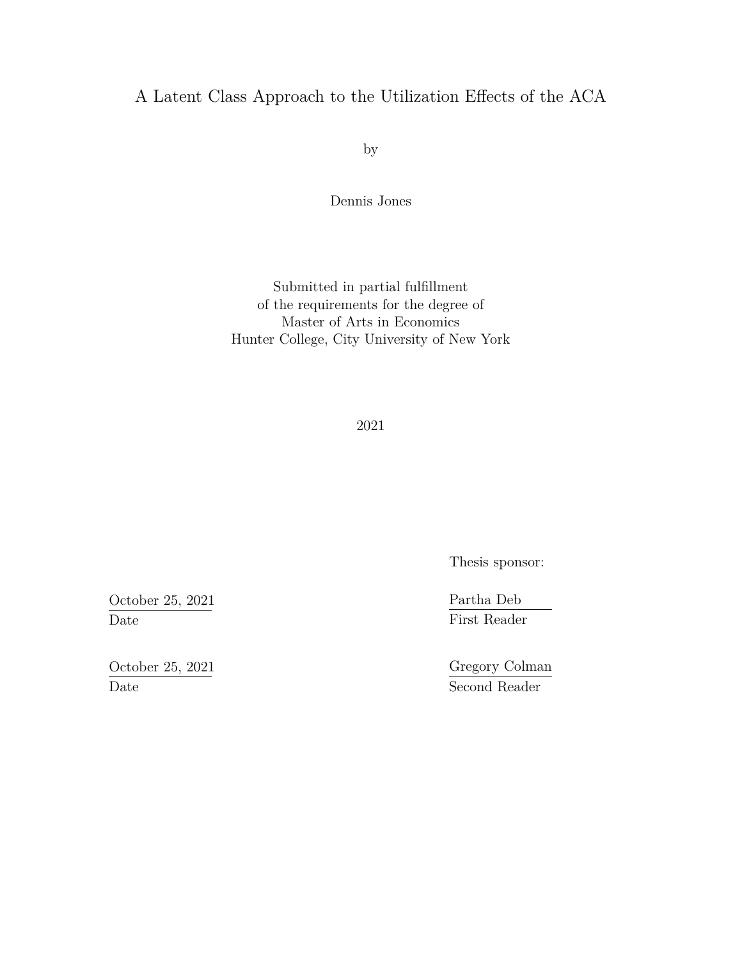### A Latent Class Approach to the Utilization Effects of the ACA

by

Dennis Jones

Submitted in partial fulfillment of the requirements for the degree of Master of Arts in Economics Hunter College, City University of New York

2021

Thesis sponsor:

Partha Deb First Reader

Gregory Colman Second Reader

October 25, 2021 Date

October 25, 2021 Date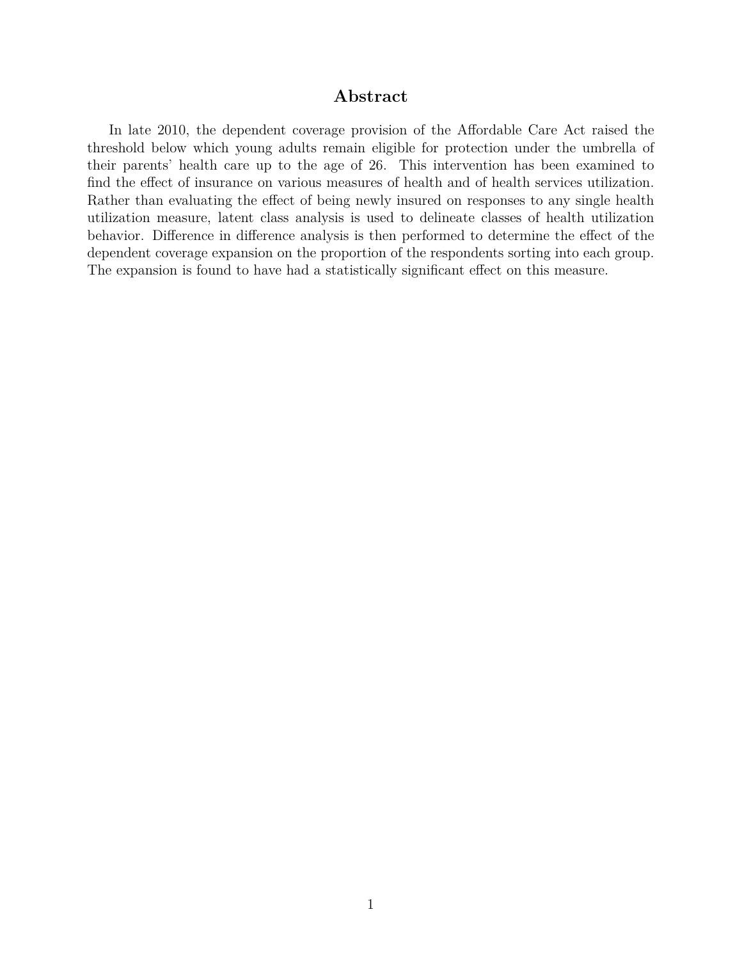#### **Abstract**

In late 2010, the dependent coverage provision of the Affordable Care Act raised the threshold below which young adults remain eligible for protection under the umbrella of their parents' health care up to the age of 26. This intervention has been examined to find the effect of insurance on various measures of health and of health services utilization. Rather than evaluating the effect of being newly insured on responses to any single health utilization measure, latent class analysis is used to delineate classes of health utilization behavior. Difference in difference analysis is then performed to determine the effect of the dependent coverage expansion on the proportion of the respondents sorting into each group. The expansion is found to have had a statistically significant effect on this measure.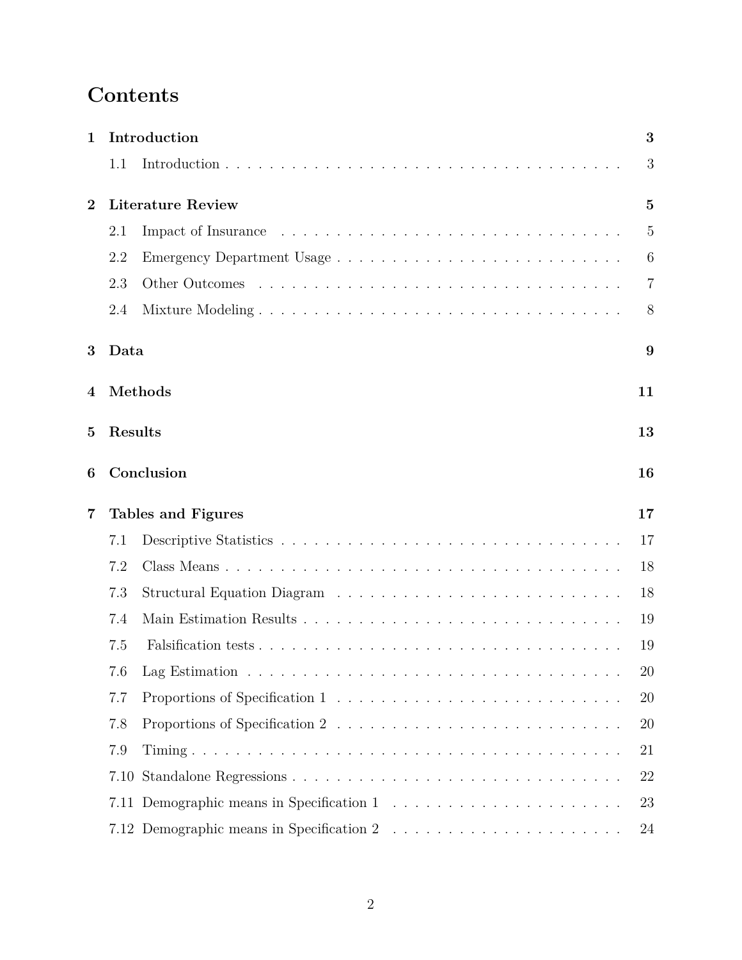# **Contents**

| 1              |         | Introduction             | 3              |
|----------------|---------|--------------------------|----------------|
|                | 1.1     |                          | 3              |
| $\overline{2}$ |         | <b>Literature Review</b> | $\mathbf{5}$   |
|                | 2.1     |                          | 5              |
|                | 2.2     |                          | 6              |
|                | 2.3     |                          | $\overline{7}$ |
|                | 2.4     |                          | 8              |
| 3              | Data    |                          | 9              |
| 4              |         | Methods                  | 11             |
| 5              | Results |                          | 13             |
| 6              |         | Conclusion               | 16             |
| 7              |         | Tables and Figures       | 17             |
|                | 7.1     |                          | 17             |
|                | 7.2     |                          | 18             |
|                | 7.3     |                          | 18             |
|                | 7.4     |                          | 19             |
|                | 7.5     |                          | 19             |
|                |         |                          | $20\,$         |
|                | 7.7     |                          | 20             |
|                | 7.8     |                          | 20             |
|                | 7.9     |                          | 21             |
|                | 7.10    |                          | 22             |
|                | 7.11    |                          | 23             |
|                |         |                          | 24             |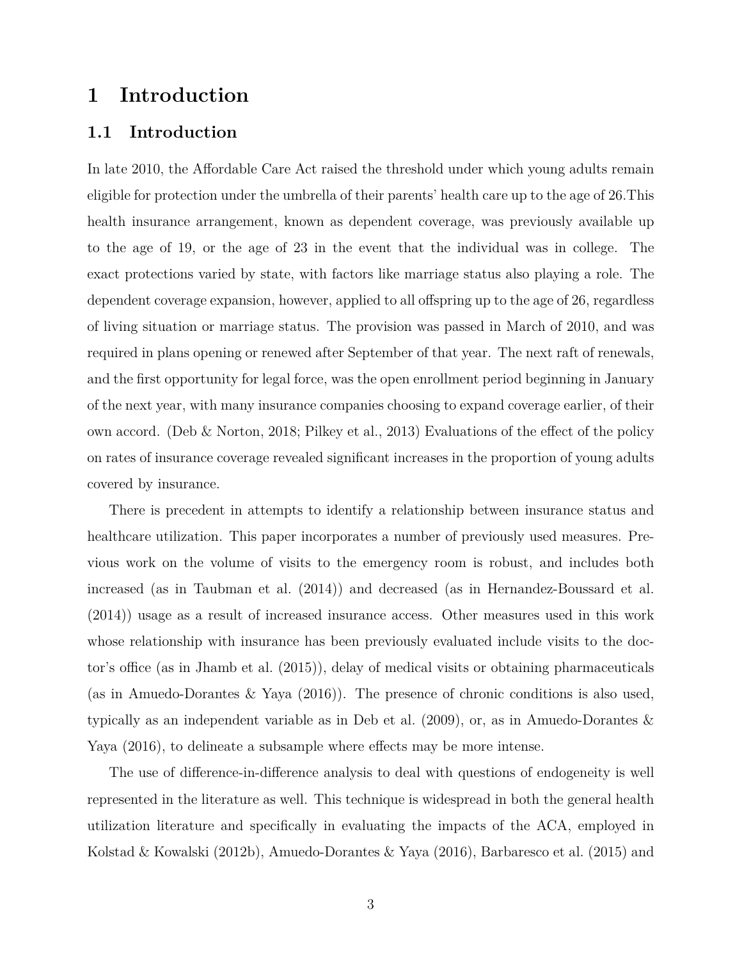### <span id="page-4-0"></span>**1 Introduction**

#### <span id="page-4-1"></span>**1.1 Introduction**

In late 2010, the Affordable Care Act raised the threshold under which young adults remain eligible for protection under the umbrella of their parents' health care up to the age of 26.This health insurance arrangement, known as dependent coverage, was previously available up to the age of 19, or the age of 23 in the event that the individual was in college. The exact protections varied by state, with factors like marriage status also playing a role. The dependent coverage expansion, however, applied to all offspring up to the age of 26, regardless of living situation or marriage status. The provision was passed in March of 2010, and was required in plans opening or renewed after September of that year. The next raft of renewals, and the first opportunity for legal force, was the open enrollment period beginning in January of the next year, with many insurance companies choosing to expand coverage earlier, of their own accord. ([Deb & Norton,](#page-27-0) [2018;](#page-27-0) [Pilkey et al.](#page-28-0), [2013\)](#page-28-0) Evaluations of the effect of the policy on rates of insurance coverage revealed significant increases in the proportion of young adults covered by insurance.

There is precedent in attempts to identify a relationship between insurance status and healthcare utilization. This paper incorporates a number of previously used measures. Previous work on the volume of visits to the emergency room is robust, and includes both increased (as in [Taubman et al.](#page-28-1) ([2014](#page-28-1))) and decreased (as in [Hernandez-Boussard et al.](#page-27-1) ([2014\)](#page-27-1)) usage as a result of increased insurance access. Other measures used in this work whose relationship with insurance has been previously evaluated include visits to the doctor's office (as in [Jhamb et al.](#page-27-2) ([2015](#page-27-2))), delay of medical visits or obtaining pharmaceuticals (as in [Amuedo-Dorantes & Yaya](#page-26-0) [\(2016\)](#page-26-0)). The presence of chronic conditions is also used, typically as an independent variable as in [Deb et al.](#page-27-3) ([2009](#page-27-3)), or, as in [Amuedo-Dorantes &](#page-26-0) [Yaya](#page-26-0) [\(2016\)](#page-26-0), to delineate a subsample where effects may be more intense.

The use of difference-in-difference analysis to deal with questions of endogeneity is well represented in the literature as well. This technique is widespread in both the general health utilization literature and specifically in evaluating the impacts of the ACA, employed in [Kolstad & Kowalski](#page-27-4) ([2012b](#page-27-4)), [Amuedo-Dorantes & Yaya](#page-26-0) [\(2016\)](#page-26-0), [Barbaresco et al.](#page-26-1) ([2015](#page-26-1)) and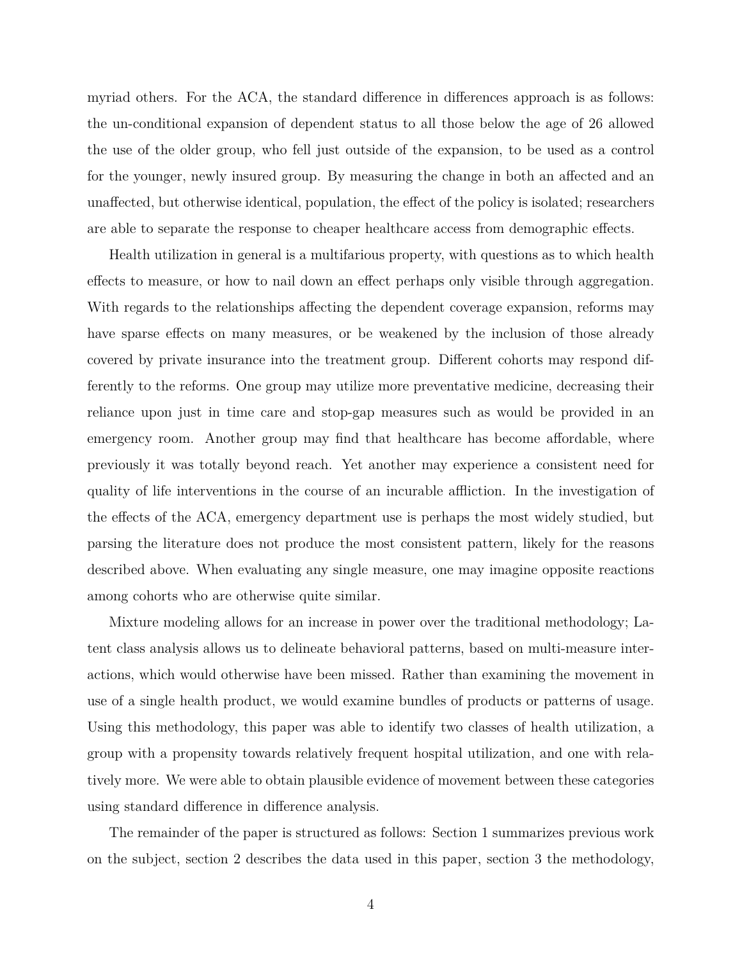myriad others. For the ACA, the standard difference in differences approach is as follows: the un-conditional expansion of dependent status to all those below the age of 26 allowed the use of the older group, who fell just outside of the expansion, to be used as a control for the younger, newly insured group. By measuring the change in both an affected and an unaffected, but otherwise identical, population, the effect of the policy is isolated; researchers are able to separate the response to cheaper healthcare access from demographic effects.

Health utilization in general is a multifarious property, with questions as to which health effects to measure, or how to nail down an effect perhaps only visible through aggregation. With regards to the relationships affecting the dependent coverage expansion, reforms may have sparse effects on many measures, or be weakened by the inclusion of those already covered by private insurance into the treatment group. Different cohorts may respond differently to the reforms. One group may utilize more preventative medicine, decreasing their reliance upon just in time care and stop-gap measures such as would be provided in an emergency room. Another group may find that healthcare has become affordable, where previously it was totally beyond reach. Yet another may experience a consistent need for quality of life interventions in the course of an incurable affliction. In the investigation of the effects of the ACA, emergency department use is perhaps the most widely studied, but parsing the literature does not produce the most consistent pattern, likely for the reasons described above. When evaluating any single measure, one may imagine opposite reactions among cohorts who are otherwise quite similar.

Mixture modeling allows for an increase in power over the traditional methodology; Latent class analysis allows us to delineate behavioral patterns, based on multi-measure interactions, which would otherwise have been missed. Rather than examining the movement in use of a single health product, we would examine bundles of products or patterns of usage. Using this methodology, this paper was able to identify two classes of health utilization, a group with a propensity towards relatively frequent hospital utilization, and one with relatively more. We were able to obtain plausible evidence of movement between these categories using standard difference in difference analysis.

The remainder of the paper is structured as follows: Section 1 summarizes previous work on the subject, section 2 describes the data used in this paper, section 3 the methodology,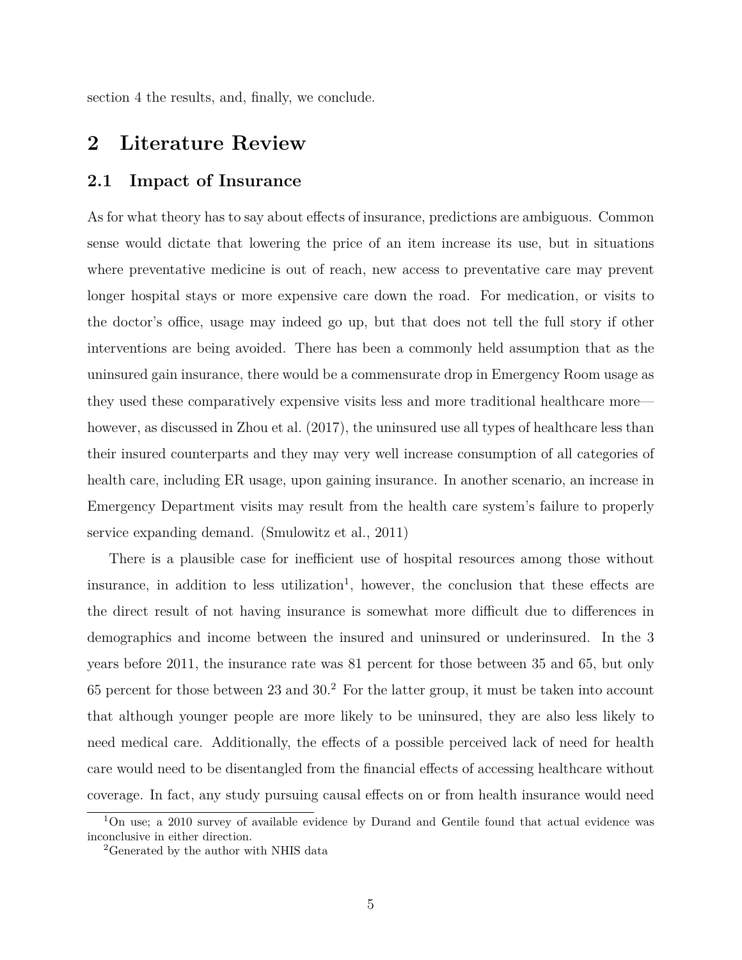section 4 the results, and, finally, we conclude.

### <span id="page-6-0"></span>**2 Literature Review**

#### <span id="page-6-1"></span>**2.1 Impact of Insurance**

As for what theory has to say about effects of insurance, predictions are ambiguous. Common sense would dictate that lowering the price of an item increase its use, but in situations where preventative medicine is out of reach, new access to preventative care may prevent longer hospital stays or more expensive care down the road. For medication, or visits to the doctor's office, usage may indeed go up, but that does not tell the full story if other interventions are being avoided. There has been a commonly held assumption that as the uninsured gain insurance, there would be a commensurate drop in Emergency Room usage as they used these comparatively expensive visits less and more traditional healthcare more— however, as discussed in [Zhou et al.](#page-29-0) ([2017](#page-29-0)), the uninsured use all types of healthcare less than their insured counterparts and they may very well increase consumption of all categories of health care, including ER usage, upon gaining insurance. In another scenario, an increase in Emergency Department visits may result from the health care system's failure to properly service expanding demand. ([Smulowitz et al.](#page-28-2), [2011\)](#page-28-2)

There is a plausible case for inefficient use of hospital resources among those without insurance, in addition to less utilization<sup>[1](#page-6-2)</sup>, however, the conclusion that these effects are the direct result of not having insurance is somewhat more difficult due to differences in demographics and income between the insured and uninsured or underinsured. In the 3 years before 2011, the insurance rate was 81 percent for those between 35 and 65, but only 65 percent for those between [2](#page-6-3)3 and  $30<sup>2</sup>$ . For the latter group, it must be taken into account that although younger people are more likely to be uninsured, they are also less likely to need medical care. Additionally, the effects of a possible perceived lack of need for health care would need to be disentangled from the financial effects of accessing healthcare without coverage. In fact, any study pursuing causal effects on or from health insurance would need

<span id="page-6-2"></span><sup>&</sup>lt;sup>1</sup>On use; a 2010 survey of available evidence by Durand and Gentile found that actual evidence was inconclusive in either direction.

<span id="page-6-3"></span><sup>2</sup>Generated by the author with NHIS data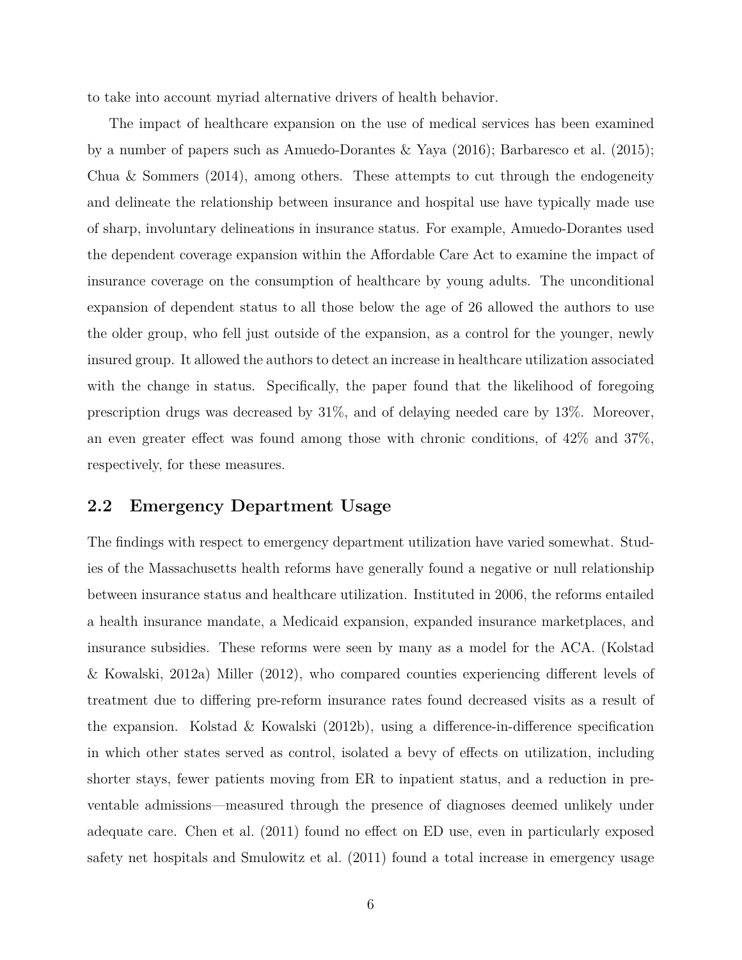to take into account myriad alternative drivers of health behavior.

The impact of healthcare expansion on the use of medical services has been examined by a number of papers such as [Amuedo-Dorantes & Yaya](#page-26-0) ([2016\)](#page-26-0); [Barbaresco et al.](#page-26-1) ([2015](#page-26-1)); [Chua & Sommers](#page-26-2)  $(2014)$  $(2014)$ , among others. These attempts to cut through the endogeneity and delineate the relationship between insurance and hospital use have typically made use of sharp, involuntary delineations in insurance status. For example, Amuedo-Dorantes used the dependent coverage expansion within the Affordable Care Act to examine the impact of insurance coverage on the consumption of healthcare by young adults. The unconditional expansion of dependent status to all those below the age of 26 allowed the authors to use the older group, who fell just outside of the expansion, as a control for the younger, newly insured group. It allowed the authors to detect an increase in healthcare utilization associated with the change in status. Specifically, the paper found that the likelihood of foregoing prescription drugs was decreased by 31%, and of delaying needed care by 13%. Moreover, an even greater effect was found among those with chronic conditions, of 42% and 37%, respectively, for these measures.

#### <span id="page-7-0"></span>**2.2 Emergency Department Usage**

The findings with respect to emergency department utilization have varied somewhat. Studies of the Massachusetts health reforms have generally found a negative or null relationship between insurance status and healthcare utilization. Instituted in 2006, the reforms entailed a health insurance mandate, a Medicaid expansion, expanded insurance marketplaces, and insurance subsidies. These reforms were seen by many as a model for the ACA. ([Kolstad](#page-27-5) [& Kowalski,](#page-27-5) [2012a](#page-27-5)) [Miller](#page-28-3) ([2012](#page-28-3)), who compared counties experiencing different levels of treatment due to differing pre-reform insurance rates found decreased visits as a result of the expansion. [Kolstad & Kowalski](#page-27-4) [\(2012b\)](#page-27-4), using a difference-in-difference specification in which other states served as control, isolated a bevy of effects on utilization, including shorter stays, fewer patients moving from ER to inpatient status, and a reduction in preventable admissions—measured through the presence of diagnoses deemed unlikely under adequate care. [Chen et al.](#page-26-3) [\(2011](#page-26-3)) found no effect on ED use, even in particularly exposed safety net hospitals and [Smulowitz et al.](#page-28-2) [\(2011\)](#page-28-2) found a total increase in emergency usage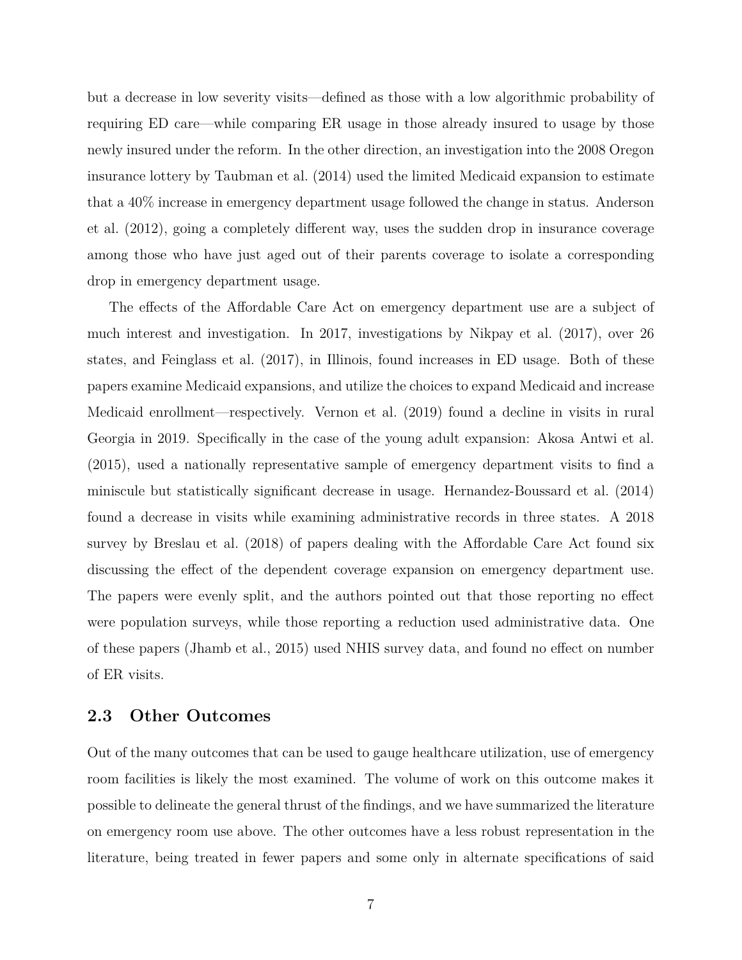but a decrease in low severity visits—defined as those with a low algorithmic probability of requiring ED care—while comparing ER usage in those already insured to usage by those newly insured under the reform. In the other direction, an investigation into the 2008 Oregon insurance lottery by [Taubman et al.](#page-28-1) ([2014](#page-28-1)) used the limited Medicaid expansion to estimate that a 40% increase in emergency department usage followed the change in status. [Anderson](#page-26-4) [et al.](#page-26-4) [\(2012\)](#page-26-4), going a completely different way, uses the sudden drop in insurance coverage among those who have just aged out of their parents coverage to isolate a corresponding drop in emergency department usage.

The effects of the Affordable Care Act on emergency department use are a subject of much interest and investigation. In 2017, investigations by [Nikpay et al.](#page-28-4) ([2017](#page-28-4)), over 26 states, and [Feinglass et al.](#page-27-6) [\(2017\)](#page-27-6), in Illinois, found increases in ED usage. Both of these papers examine Medicaid expansions, and utilize the choices to expand Medicaid and increase Medicaid enrollment—respectively. [Vernon et al.](#page-28-5) [\(2019\)](#page-28-5) found a decline in visits in rural Georgia in 2019. Specifically in the case of the young adult expansion: [Akosa Antwi et al.](#page-26-5) ([2015\)](#page-26-5), used a nationally representative sample of emergency department visits to find a miniscule but statistically significant decrease in usage. [Hernandez-Boussard et al.](#page-27-1) [\(2014](#page-27-1)) found a decrease in visits while examining administrative records in three states. A 2018 survey by [Breslau et al.](#page-26-6) [\(2018\)](#page-26-6) of papers dealing with the Affordable Care Act found six discussing the effect of the dependent coverage expansion on emergency department use. The papers were evenly split, and the authors pointed out that those reporting no effect were population surveys, while those reporting a reduction used administrative data. One of these papers ([Jhamb et al.](#page-27-2), [2015\)](#page-27-2) used NHIS survey data, and found no effect on number of ER visits.

#### <span id="page-8-0"></span>**2.3 Other Outcomes**

Out of the many outcomes that can be used to gauge healthcare utilization, use of emergency room facilities is likely the most examined. The volume of work on this outcome makes it possible to delineate the general thrust of the findings, and we have summarized the literature on emergency room use above. The other outcomes have a less robust representation in the literature, being treated in fewer papers and some only in alternate specifications of said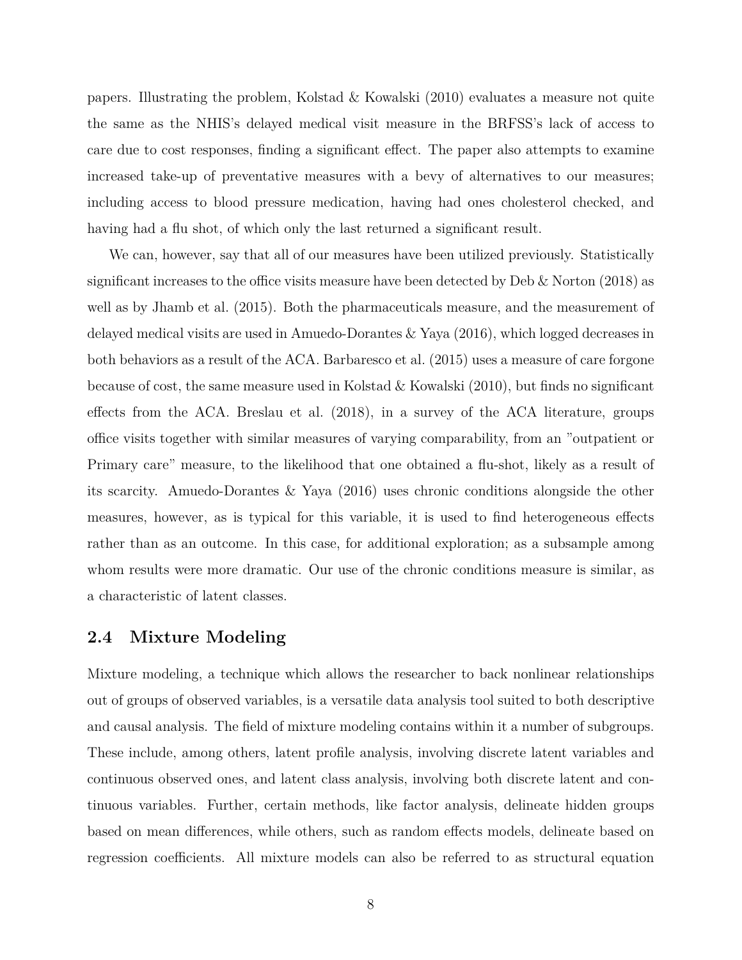papers. Illustrating the problem, [Kolstad & Kowalski](#page-27-7) [\(2010\)](#page-27-7) evaluates a measure not quite the same as the NHIS's delayed medical visit measure in the BRFSS's lack of access to care due to cost responses, finding a significant effect. The paper also attempts to examine increased take-up of preventative measures with a bevy of alternatives to our measures; including access to blood pressure medication, having had ones cholesterol checked, and having had a flu shot, of which only the last returned a significant result.

We can, however, say that all of our measures have been utilized previously. Statistically significant increases to the office visits measure have been detected by [Deb & Norton](#page-27-0) ([2018](#page-27-0)) as well as by [Jhamb et al.](#page-27-2) [\(2015\)](#page-27-2). Both the pharmaceuticals measure, and the measurement of delayed medical visits are used in [Amuedo-Dorantes & Yaya](#page-26-0) ([2016](#page-26-0)), which logged decreases in both behaviors as a result of the ACA. [Barbaresco et al.](#page-26-1) ([2015](#page-26-1)) uses a measure of care forgone because of cost, the same measure used in [Kolstad & Kowalski](#page-27-7) [\(2010\)](#page-27-7), but finds no significant effects from the ACA. [Breslau et al.](#page-26-6) ([2018\)](#page-26-6), in a survey of the ACA literature, groups office visits together with similar measures of varying comparability, from an "outpatient or Primary care" measure, to the likelihood that one obtained a flu-shot, likely as a result of its scarcity. [Amuedo-Dorantes & Yaya](#page-26-0) ([2016](#page-26-0)) uses chronic conditions alongside the other measures, however, as is typical for this variable, it is used to find heterogeneous effects rather than as an outcome. In this case, for additional exploration; as a subsample among whom results were more dramatic. Our use of the chronic conditions measure is similar, as a characteristic of latent classes.

#### <span id="page-9-0"></span>**2.4 Mixture Modeling**

Mixture modeling, a technique which allows the researcher to back nonlinear relationships out of groups of observed variables, is a versatile data analysis tool suited to both descriptive and causal analysis. The field of mixture modeling contains within it a number of subgroups. These include, among others, latent profile analysis, involving discrete latent variables and continuous observed ones, and latent class analysis, involving both discrete latent and continuous variables. Further, certain methods, like factor analysis, delineate hidden groups based on mean differences, while others, such as random effects models, delineate based on regression coefficients. All mixture models can also be referred to as structural equation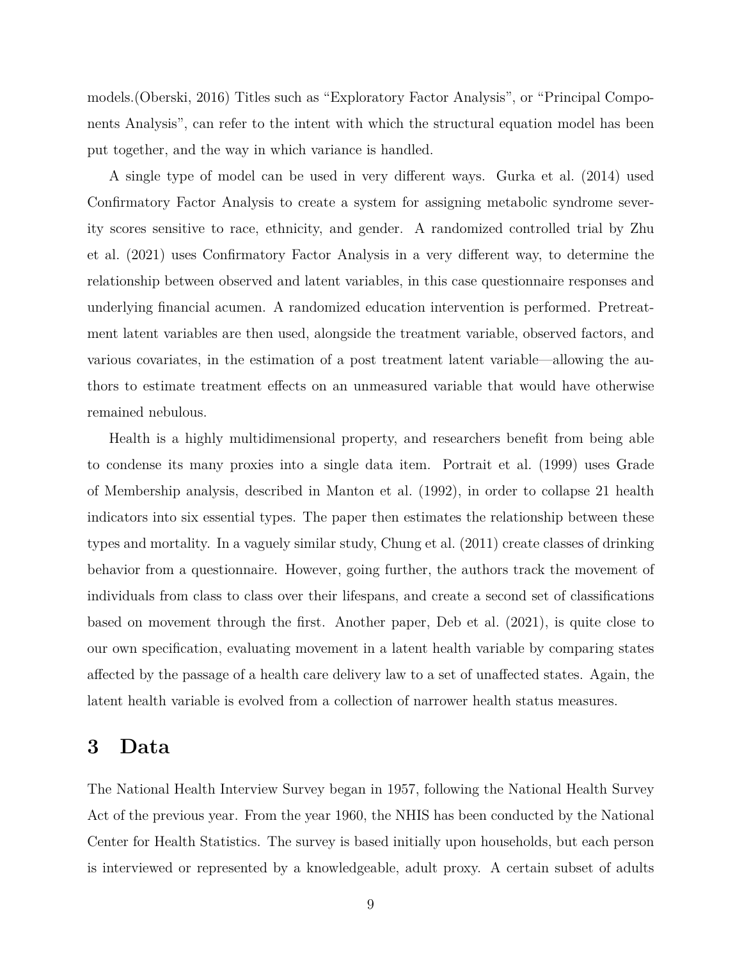models.[\(Oberski](#page-28-6), [2016](#page-28-6)) Titles such as "Exploratory Factor Analysis", or "Principal Components Analysis", can refer to the intent with which the structural equation model has been put together, and the way in which variance is handled.

A single type of model can be used in very different ways. [Gurka et al.](#page-27-8) [\(2014](#page-27-8)) used Confirmatory Factor Analysis to create a system for assigning metabolic syndrome severity scores sensitive to race, ethnicity, and gender. A randomized controlled trial by [Zhu](#page-29-1) [et al.](#page-29-1) [\(2021\)](#page-29-1) uses Confirmatory Factor Analysis in a very different way, to determine the relationship between observed and latent variables, in this case questionnaire responses and underlying financial acumen. A randomized education intervention is performed. Pretreatment latent variables are then used, alongside the treatment variable, observed factors, and various covariates, in the estimation of a post treatment latent variable—allowing the authors to estimate treatment effects on an unmeasured variable that would have otherwise remained nebulous.

Health is a highly multidimensional property, and researchers benefit from being able to condense its many proxies into a single data item. [Portrait et al.](#page-28-7) [\(1999](#page-28-7)) uses Grade of Membership analysis, described in [Manton et al.](#page-28-8) ([1992](#page-28-8)), in order to collapse 21 health indicators into six essential types. The paper then estimates the relationship between these types and mortality. In a vaguely similar study, [Chung et al.](#page-26-7) ([2011](#page-26-7)) create classes of drinking behavior from a questionnaire. However, going further, the authors track the movement of individuals from class to class over their lifespans, and create a second set of classifications based on movement through the first. Another paper, [Deb et al.](#page-26-8) ([2021](#page-26-8)), is quite close to our own specification, evaluating movement in a latent health variable by comparing states affected by the passage of a health care delivery law to a set of unaffected states. Again, the latent health variable is evolved from a collection of narrower health status measures.

### <span id="page-10-0"></span>**3 Data**

The National Health Interview Survey began in 1957, following the National Health Survey Act of the previous year. From the year 1960, the NHIS has been conducted by the National Center for Health Statistics. The survey is based initially upon households, but each person is interviewed or represented by a knowledgeable, adult proxy. A certain subset of adults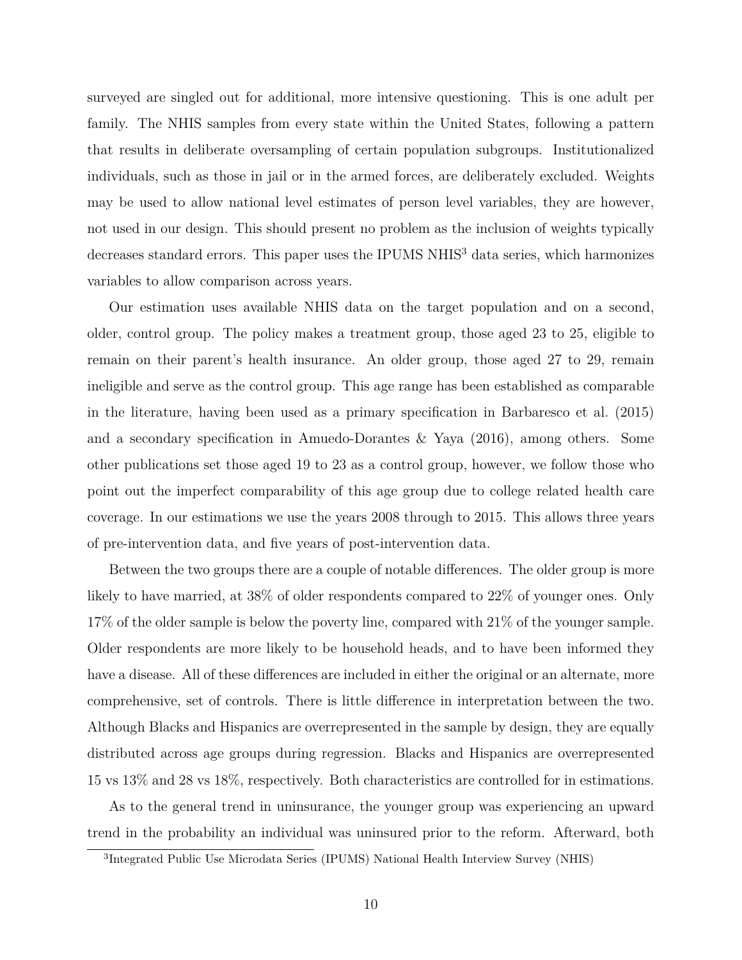surveyed are singled out for additional, more intensive questioning. This is one adult per family. The NHIS samples from every state within the United States, following a pattern that results in deliberate oversampling of certain population subgroups. Institutionalized individuals, such as those in jail or in the armed forces, are deliberately excluded. Weights may be used to allow national level estimates of person level variables, they are however, not used in our design. This should present no problem as the inclusion of weights typically decreases standard errors. This paper uses the IPUMS NHIS<sup>[3](#page-11-0)</sup> data series, which harmonizes variables to allow comparison across years.

Our estimation uses available NHIS data on the target population and on a second, older, control group. The policy makes a treatment group, those aged 23 to 25, eligible to remain on their parent's health insurance. An older group, those aged 27 to 29, remain ineligible and serve as the control group. This age range has been established as comparable in the literature, having been used as a primary specification in [Barbaresco et al.](#page-26-1) [\(2015](#page-26-1)) and a secondary specification in [Amuedo-Dorantes & Yaya](#page-26-0) ([2016](#page-26-0)), among others. Some other publications set those aged 19 to 23 as a control group, however, we follow those who point out the imperfect comparability of this age group due to college related health care coverage. In our estimations we use the years 2008 through to 2015. This allows three years of pre-intervention data, and five years of post-intervention data.

Between the two groups there are a couple of notable differences. The older group is more likely to have married, at 38% of older respondents compared to 22% of younger ones. Only 17% of the older sample is below the poverty line, compared with 21% of the younger sample. Older respondents are more likely to be household heads, and to have been informed they have a disease. All of these differences are included in either the original or an alternate, more comprehensive, set of controls. There is little difference in interpretation between the two. Although Blacks and Hispanics are overrepresented in the sample by design, they are equally distributed across age groups during regression. Blacks and Hispanics are overrepresented 15 vs 13% and 28 vs 18%, respectively. Both characteristics are controlled for in estimations.

As to the general trend in uninsurance, the younger group was experiencing an upward trend in the probability an individual was uninsured prior to the reform. Afterward, both

<span id="page-11-0"></span><sup>3</sup> Integrated Public Use Microdata Series (IPUMS) National Health Interview Survey (NHIS)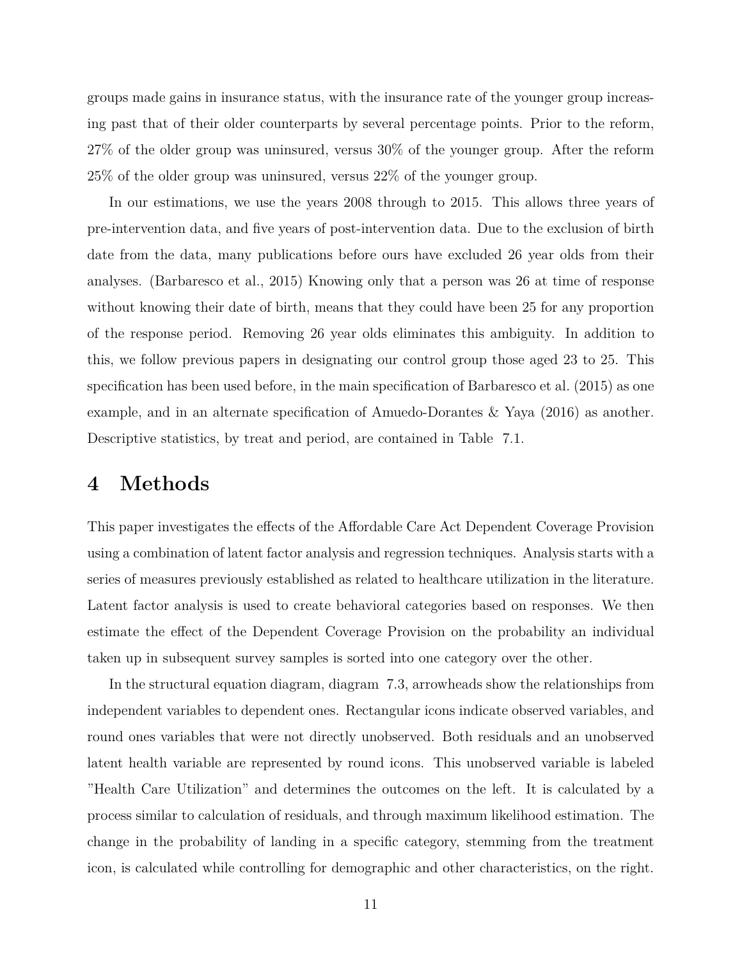groups made gains in insurance status, with the insurance rate of the younger group increasing past that of their older counterparts by several percentage points. Prior to the reform, 27% of the older group was uninsured, versus 30% of the younger group. After the reform 25% of the older group was uninsured, versus 22% of the younger group.

In our estimations, we use the years 2008 through to 2015. This allows three years of pre-intervention data, and five years of post-intervention data. Due to the exclusion of birth date from the data, many publications before ours have excluded 26 year olds from their analyses. ([Barbaresco et al.,](#page-26-1) [2015\)](#page-26-1) Knowing only that a person was 26 at time of response without knowing their date of birth, means that they could have been 25 for any proportion of the response period. Removing 26 year olds eliminates this ambiguity. In addition to this, we follow previous papers in designating our control group those aged 23 to 25. This specification has been used before, in the main specification of [Barbaresco et al.](#page-26-1) [\(2015\)](#page-26-1) as one example, and in an alternate specification of [Amuedo-Dorantes & Yaya](#page-26-0) ([2016\)](#page-26-0) as another. Descriptive statistics, by treat and period, are contained in Table [7.1.](#page-18-1)

### <span id="page-12-0"></span>**4 Methods**

This paper investigates the effects of the Affordable Care Act Dependent Coverage Provision using a combination of latent factor analysis and regression techniques. Analysis starts with a series of measures previously established as related to healthcare utilization in the literature. Latent factor analysis is used to create behavioral categories based on responses. We then estimate the effect of the Dependent Coverage Provision on the probability an individual taken up in subsequent survey samples is sorted into one category over the other.

In the structural equation diagram, diagram [7.3](#page-19-1), arrowheads show the relationships from independent variables to dependent ones. Rectangular icons indicate observed variables, and round ones variables that were not directly unobserved. Both residuals and an unobserved latent health variable are represented by round icons. This unobserved variable is labeled "Health Care Utilization" and determines the outcomes on the left. It is calculated by a process similar to calculation of residuals, and through maximum likelihood estimation. The change in the probability of landing in a specific category, stemming from the treatment icon, is calculated while controlling for demographic and other characteristics, on the right.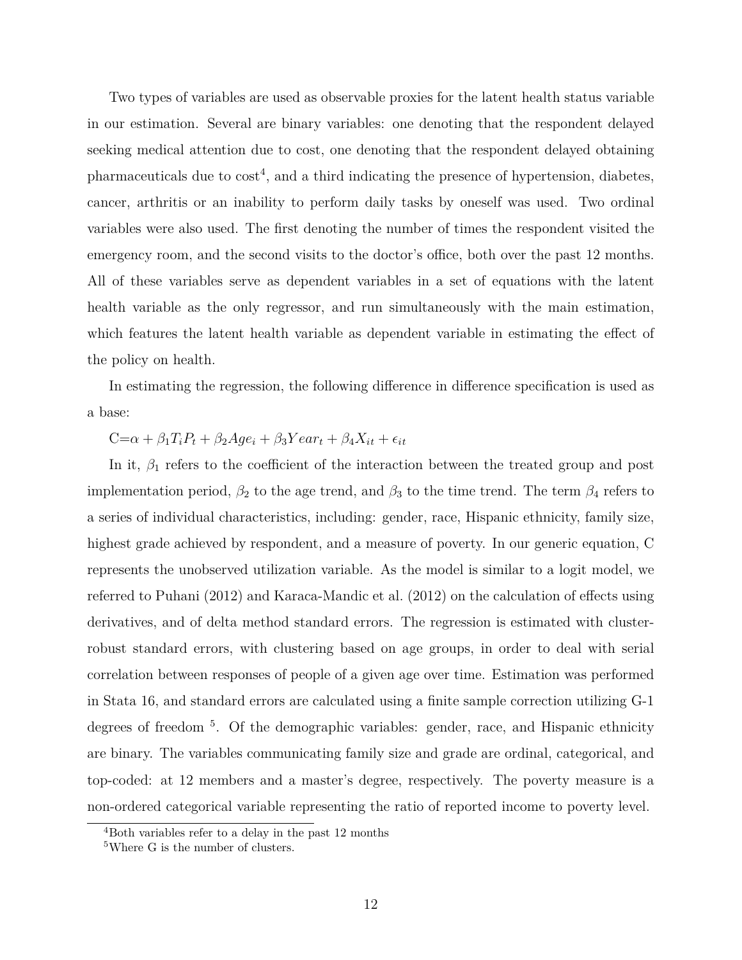Two types of variables are used as observable proxies for the latent health status variable in our estimation. Several are binary variables: one denoting that the respondent delayed seeking medical attention due to cost, one denoting that the respondent delayed obtaining pharmaceuticals due to  $cost<sup>4</sup>$  $cost<sup>4</sup>$  $cost<sup>4</sup>$ , and a third indicating the presence of hypertension, diabetes, cancer, arthritis or an inability to perform daily tasks by oneself was used. Two ordinal variables were also used. The first denoting the number of times the respondent visited the emergency room, and the second visits to the doctor's office, both over the past 12 months. All of these variables serve as dependent variables in a set of equations with the latent health variable as the only regressor, and run simultaneously with the main estimation, which features the latent health variable as dependent variable in estimating the effect of the policy on health.

In estimating the regression, the following difference in difference specification is used as a base:

### $C = \alpha + \beta_1 T_i P_t + \beta_2 A g e_i + \beta_3 Y e a r_t + \beta_4 X_{it} + \epsilon_{it}$

In it,  $\beta_1$  refers to the coefficient of the interaction between the treated group and post implementation period,  $\beta_2$  to the age trend, and  $\beta_3$  to the time trend. The term  $\beta_4$  refers to a series of individual characteristics, including: gender, race, Hispanic ethnicity, family size, highest grade achieved by respondent, and a measure of poverty. In our generic equation, C represents the unobserved utilization variable. As the model is similar to a logit model, we referred to [Puhani](#page-28-9) ([2012](#page-28-9)) and [Karaca-Mandic et al.](#page-27-9) ([2012](#page-27-9)) on the calculation of effects using derivatives, and of delta method standard errors. The regression is estimated with clusterrobust standard errors, with clustering based on age groups, in order to deal with serial correlation between responses of people of a given age over time. Estimation was performed in Stata 16, and standard errors are calculated using a finite sample correction utilizing G-1 degrees of freedom<sup>[5](#page-13-1)</sup>. Of the demographic variables: gender, race, and Hispanic ethnicity are binary. The variables communicating family size and grade are ordinal, categorical, and top-coded: at 12 members and a master's degree, respectively. The poverty measure is a non-ordered categorical variable representing the ratio of reported income to poverty level.

<span id="page-13-0"></span><sup>4</sup>Both variables refer to a delay in the past 12 months

<span id="page-13-1"></span><sup>5</sup>Where G is the number of clusters.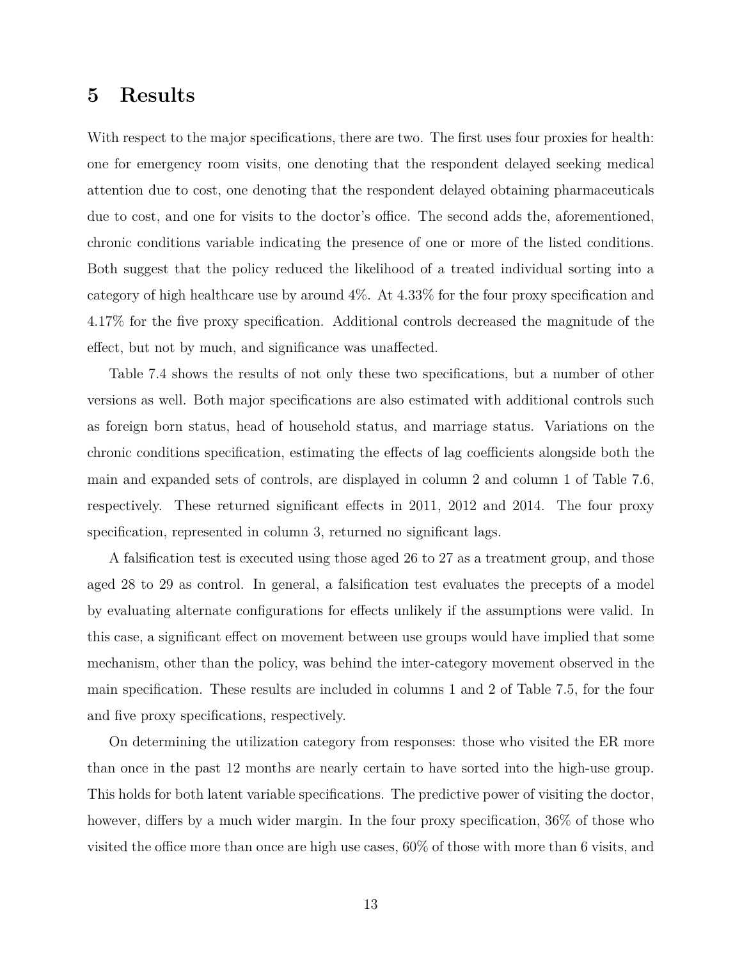### <span id="page-14-0"></span>**5 Results**

With respect to the major specifications, there are two. The first uses four proxies for health: one for emergency room visits, one denoting that the respondent delayed seeking medical attention due to cost, one denoting that the respondent delayed obtaining pharmaceuticals due to cost, and one for visits to the doctor's office. The second adds the, aforementioned, chronic conditions variable indicating the presence of one or more of the listed conditions. Both suggest that the policy reduced the likelihood of a treated individual sorting into a category of high healthcare use by around 4%. At 4.33% for the four proxy specification and 4.17% for the five proxy specification. Additional controls decreased the magnitude of the effect, but not by much, and significance was unaffected.

Table [7.4](#page-20-0) shows the results of not only these two specifications, but a number of other versions as well. Both major specifications are also estimated with additional controls such as foreign born status, head of household status, and marriage status. Variations on the chronic conditions specification, estimating the effects of lag coefficients alongside both the main and expanded sets of controls, are displayed in column 2 and column 1 of Table [7.6,](#page-21-0) respectively. These returned significant effects in 2011, 2012 and 2014. The four proxy specification, represented in column 3, returned no significant lags.

A falsification test is executed using those aged 26 to 27 as a treatment group, and those aged 28 to 29 as control. In general, a falsification test evaluates the precepts of a model by evaluating alternate configurations for effects unlikely if the assumptions were valid. In this case, a significant effect on movement between use groups would have implied that some mechanism, other than the policy, was behind the inter-category movement observed in the main specification. These results are included in columns 1 and 2 of Table [7.5,](#page-20-1) for the four and five proxy specifications, respectively.

On determining the utilization category from responses: those who visited the ER more than once in the past 12 months are nearly certain to have sorted into the high-use group. This holds for both latent variable specifications. The predictive power of visiting the doctor, however, differs by a much wider margin. In the four proxy specification,  $36\%$  of those who visited the office more than once are high use cases, 60% of those with more than 6 visits, and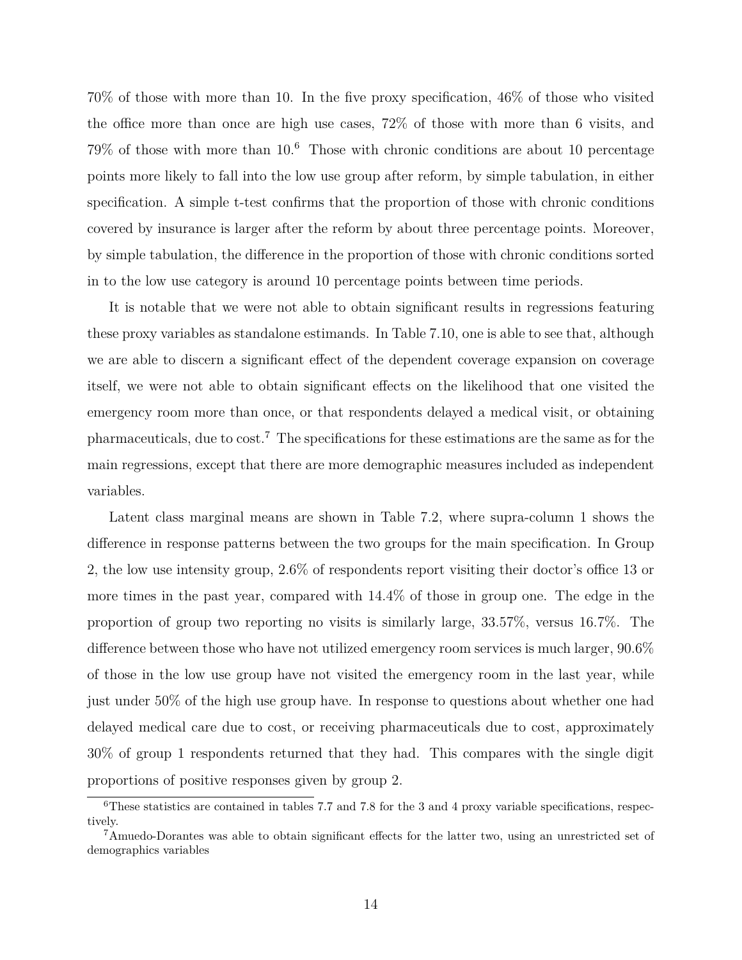70% of those with more than 10. In the five proxy specification, 46% of those who visited the office more than once are high use cases, 72% of those with more than 6 visits, and  $79\%$  of those with more than  $10<sup>6</sup>$  $10<sup>6</sup>$  $10<sup>6</sup>$  Those with chronic conditions are about 10 percentage points more likely to fall into the low use group after reform, by simple tabulation, in either specification. A simple t-test confirms that the proportion of those with chronic conditions covered by insurance is larger after the reform by about three percentage points. Moreover, by simple tabulation, the difference in the proportion of those with chronic conditions sorted in to the low use category is around 10 percentage points between time periods.

It is notable that we were not able to obtain significant results in regressions featuring these proxy variables as standalone estimands. In Table [7.10](#page-23-0), one is able to see that, although we are able to discern a significant effect of the dependent coverage expansion on coverage itself, we were not able to obtain significant effects on the likelihood that one visited the emergency room more than once, or that respondents delayed a medical visit, or obtaining pharmaceuticals, due to cost.[7](#page-15-1) The specifications for these estimations are the same as for the main regressions, except that there are more demographic measures included as independent variables.

Latent class marginal means are shown in Table [7.2](#page-19-0), where supra-column 1 shows the difference in response patterns between the two groups for the main specification. In Group 2, the low use intensity group, 2.6% of respondents report visiting their doctor's office 13 or more times in the past year, compared with 14.4% of those in group one. The edge in the proportion of group two reporting no visits is similarly large, 33.57%, versus 16.7%. The difference between those who have not utilized emergency room services is much larger, 90.6% of those in the low use group have not visited the emergency room in the last year, while just under 50% of the high use group have. In response to questions about whether one had delayed medical care due to cost, or receiving pharmaceuticals due to cost, approximately 30% of group 1 respondents returned that they had. This compares with the single digit proportions of positive responses given by group 2.

<span id="page-15-0"></span><sup>6</sup>These statistics are contained in tables [7.7](#page-21-1) and [7.8](#page-21-2) for the 3 and 4 proxy variable specifications, respectively.

<span id="page-15-1"></span><sup>7</sup>Amuedo-Dorantes was able to obtain significant effects for the latter two, using an unrestricted set of demographics variables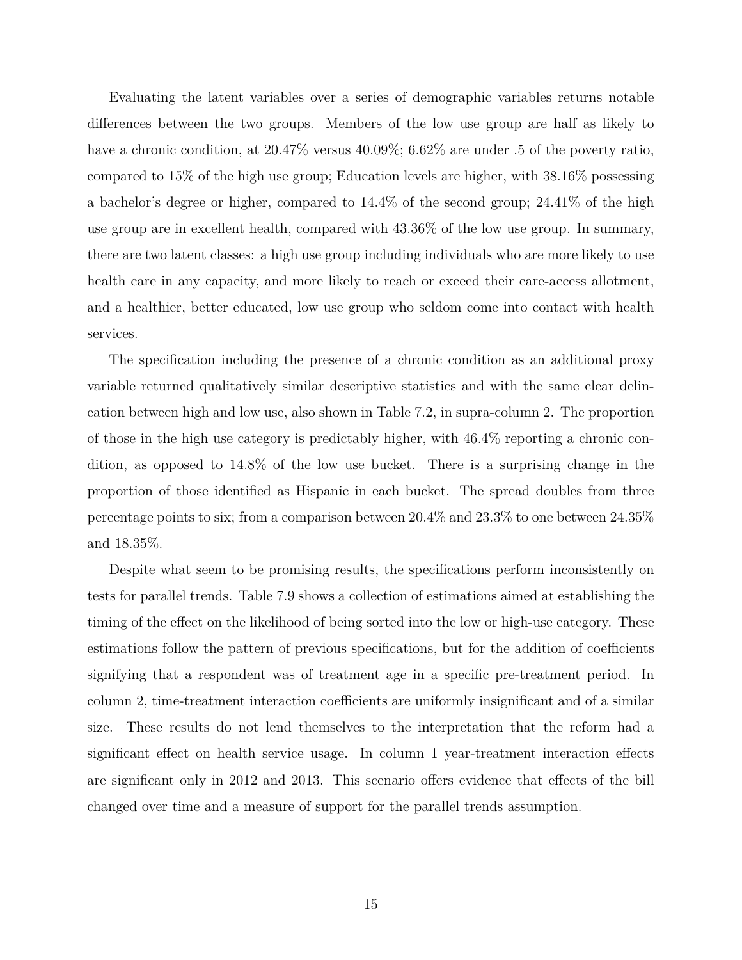Evaluating the latent variables over a series of demographic variables returns notable differences between the two groups. Members of the low use group are half as likely to have a chronic condition, at  $20.47\%$  versus  $40.09\%$ ;  $6.62\%$  are under .5 of the poverty ratio, compared to 15% of the high use group; Education levels are higher, with 38.16% possessing a bachelor's degree or higher, compared to 14.4% of the second group; 24.41% of the high use group are in excellent health, compared with 43.36% of the low use group. In summary, there are two latent classes: a high use group including individuals who are more likely to use health care in any capacity, and more likely to reach or exceed their care-access allotment, and a healthier, better educated, low use group who seldom come into contact with health services.

The specification including the presence of a chronic condition as an additional proxy variable returned qualitatively similar descriptive statistics and with the same clear delineation between high and low use, also shown in Table [7.2](#page-19-0), in supra-column 2. The proportion of those in the high use category is predictably higher, with 46.4% reporting a chronic condition, as opposed to 14.8% of the low use bucket. There is a surprising change in the proportion of those identified as Hispanic in each bucket. The spread doubles from three percentage points to six; from a comparison between 20.4% and 23.3% to one between 24.35% and 18.35%.

Despite what seem to be promising results, the specifications perform inconsistently on tests for parallel trends. Table [7.9](#page-22-0) shows a collection of estimations aimed at establishing the timing of the effect on the likelihood of being sorted into the low or high-use category. These estimations follow the pattern of previous specifications, but for the addition of coefficients signifying that a respondent was of treatment age in a specific pre-treatment period. In column 2, time-treatment interaction coefficients are uniformly insignificant and of a similar size. These results do not lend themselves to the interpretation that the reform had a significant effect on health service usage. In column 1 year-treatment interaction effects are significant only in 2012 and 2013. This scenario offers evidence that effects of the bill changed over time and a measure of support for the parallel trends assumption.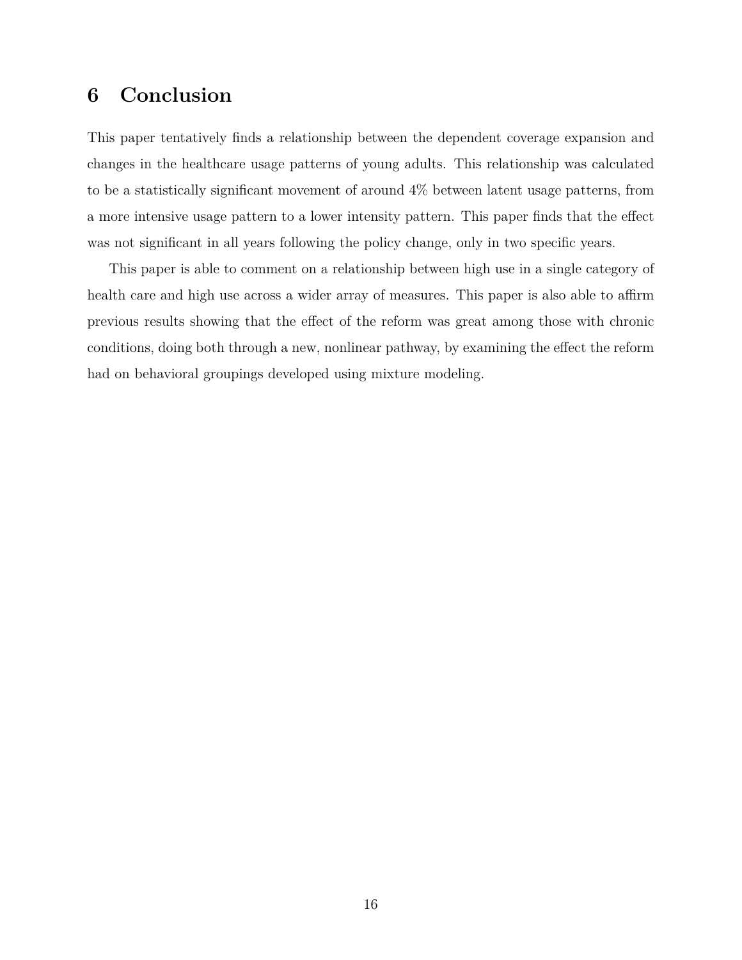### <span id="page-17-0"></span>**6 Conclusion**

This paper tentatively finds a relationship between the dependent coverage expansion and changes in the healthcare usage patterns of young adults. This relationship was calculated to be a statistically significant movement of around 4% between latent usage patterns, from a more intensive usage pattern to a lower intensity pattern. This paper finds that the effect was not significant in all years following the policy change, only in two specific years.

This paper is able to comment on a relationship between high use in a single category of health care and high use across a wider array of measures. This paper is also able to affirm previous results showing that the effect of the reform was great among those with chronic conditions, doing both through a new, nonlinear pathway, by examining the effect the reform had on behavioral groupings developed using mixture modeling.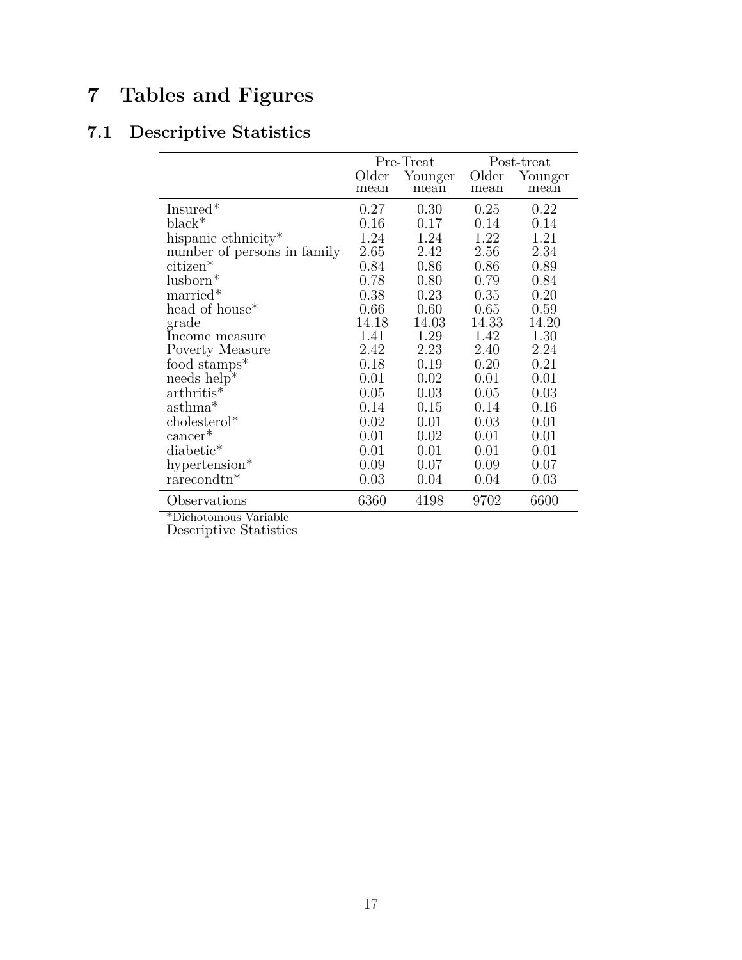# <span id="page-18-0"></span>**7 Tables and Figures**

## <span id="page-18-1"></span>**7.1 Descriptive Statistics**

|                                  |       | Pre-Treat |       | Post-treat |
|----------------------------------|-------|-----------|-------|------------|
|                                  | Older | Younger   | Older | Younger    |
|                                  | mean  | mean      | mean  | mean       |
| Insured*                         | 0.27  | 0.30      | 0.25  | 0.22       |
| $black^*$                        | 0.16  | 0.17      | 0.14  | 0.14       |
| hispanic ethnicity <sup>*</sup>  | 1.24  | 1.24      | 1.22  | 1.21       |
| number of persons in family      | 2.65  | 2.42      | 2.56  | 2.34       |
| citizen*                         | 0.84  | 0.86      | 0.86  | 0.89       |
| lusborn*                         | 0.78  | 0.80      | 0.79  | 0.84       |
| married*                         | 0.38  | 0.23      | 0.35  | 0.20       |
| head of house <sup>*</sup>       | 0.66  | 0.60      | 0.65  | 0.59       |
| grade                            | 14.18 | 14.03     | 14.33 | 14.20      |
| Income measure                   | 1.41  | 1.29      | 1.42  | 1.30       |
| Poverty Measure                  | 2.42  | 2.23      | 2.40  | 2.24       |
| food stamps <sup>*</sup>         | 0.18  | 0.19      | 0.20  | 0.21       |
| needs $\overline{\text{help}}^*$ | 0.01  | 0.02      | 0.01  | 0.01       |
| $arthritis*$                     | 0.05  | 0.03      | 0.05  | 0.03       |
| $\mathrm{asthma}^*$              | 0.14  | 0.15      | 0.14  | 0.16       |
| cholesterol*                     | 0.02  | 0.01      | 0.03  | 0.01       |
| $cancer*$                        | 0.01  | 0.02      | 0.01  | 0.01       |
| diabetic <sup>*</sup>            | 0.01  | 0.01      | 0.01  | 0.01       |
| hypertension <sup>*</sup>        | 0.09  | 0.07      | 0.09  | 0.07       |
| rarecondtn <sup>*</sup>          | 0.03  | 0.04      | 0.04  | 0.03       |
| Observations                     | 6360  | 4198      | 9702  | 6600       |

\*Dichotomous Variable

Descriptive Statistics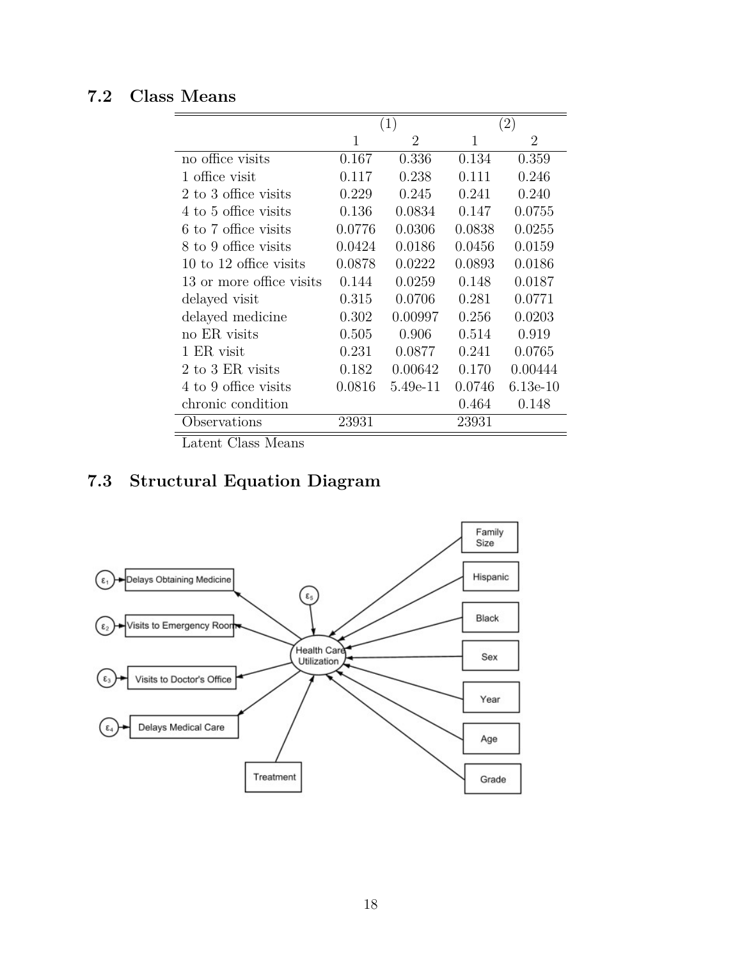## <span id="page-19-0"></span>**7.2 Class Means**

|                          |        | (1)            | (2)    |            |
|--------------------------|--------|----------------|--------|------------|
|                          | 1      | $\overline{2}$ | 1      | 2          |
| no office visits         | 0.167  | 0.336          | 0.134  | 0.359      |
| 1 office visit           | 0.117  | 0.238          | 0.111  | 0.246      |
| 2 to 3 office visits     | 0.229  | 0.245          | 0.241  | 0.240      |
| 4 to 5 office visits     | 0.136  | 0.0834         | 0.147  | 0.0755     |
| 6 to 7 office visits     | 0.0776 | 0.0306         | 0.0838 | 0.0255     |
| 8 to 9 office visits     | 0.0424 | 0.0186         | 0.0456 | 0.0159     |
| 10 to 12 office visits   | 0.0878 | 0.0222         | 0.0893 | 0.0186     |
| 13 or more office visits | 0.144  | 0.0259         | 0.148  | 0.0187     |
| delayed visit            | 0.315  | 0.0706         | 0.281  | 0.0771     |
| delayed medicine         | 0.302  | 0.00997        | 0.256  | 0.0203     |
| no ER visits             | 0.505  | 0.906          | 0.514  | 0.919      |
| 1 ER visit               | 0.231  | 0.0877         | 0.241  | 0.0765     |
| 2 to 3 ER visits         | 0.182  | 0.00642        | 0.170  | 0.00444    |
| 4 to 9 office visits     | 0.0816 | 5.49e-11       | 0.0746 | $6.13e-10$ |
| chronic condition        |        |                | 0.464  | 0.148      |
| Observations             | 23931  |                | 23931  |            |

Latent Class Means

## <span id="page-19-1"></span>**7.3 Structural Equation Diagram**

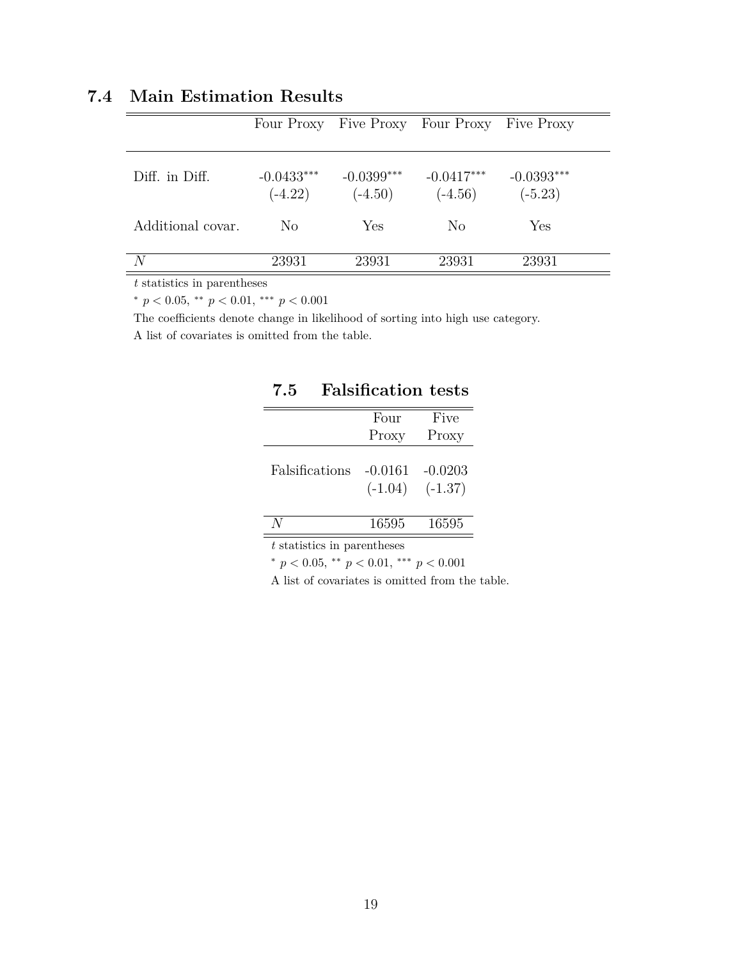### <span id="page-20-0"></span>**7.4 Main Estimation Results**

|                   | Four Proxy                |                           | Five Proxy Four Proxy Five Proxy |                           |
|-------------------|---------------------------|---------------------------|----------------------------------|---------------------------|
| Diff. in Diff.    | $-0.0433***$<br>$(-4.22)$ | $-0.0399***$<br>$(-4.50)$ | $-0.0417***$<br>$(-4.56)$        | $-0.0393***$<br>$(-5.23)$ |
| Additional covar. | N <sub>o</sub>            | <b>Yes</b>                | N <sub>o</sub>                   | Yes                       |
| N                 | 23931                     | 23931                     | 23931                            | 23931                     |

*t* statistics in parentheses

*<sup>∗</sup> p <* 0*.*05, *∗∗ p <* 0*.*01, *∗∗∗ p <* 0*.*001

The coefficients denote change in likelihood of sorting into high use category.

<span id="page-20-1"></span>A list of covariates is omitted from the table.

|                | Four      | Five      |
|----------------|-----------|-----------|
|                | Proxy     | Proxy     |
| Falsifications | $-0.0161$ | $-0.0203$ |
|                | $(-1.04)$ | $(-1.37)$ |
|                |           |           |
|                | 16595     | 16595     |
| .              | $\cdot$ 1 |           |

### **7.5 Falsification tests**

*t* statistics in parentheses

*<sup>∗</sup> p <* 0*.*05, *∗∗ p <* 0*.*01, *∗∗∗ p <* 0*.*001

A list of covariates is omitted from the table.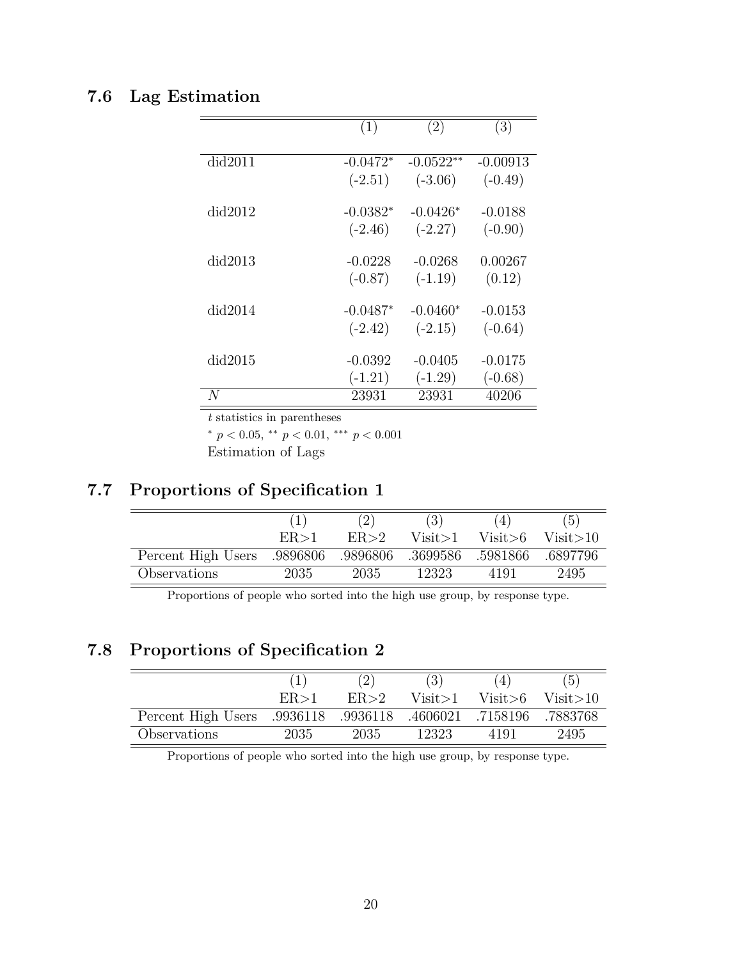## <span id="page-21-0"></span>**7.6 Lag Estimation**

|         | (1)        | (2)         | (3)        |
|---------|------------|-------------|------------|
| did2011 | $-0.0472*$ | $-0.0522**$ | $-0.00913$ |
|         | $(-2.51)$  | $(-3.06)$   | $(-0.49)$  |
| did2012 | $-0.0382*$ | $-0.0426*$  | $-0.0188$  |
|         | $(-2.46)$  | $(-2.27)$   | $(-0.90)$  |
| did2013 | $-0.0228$  | $-0.0268$   | 0.00267    |
|         | $(-0.87)$  | $(-1.19)$   | (0.12)     |
| did2014 | $-0.0487*$ | $-0.0460*$  | $-0.0153$  |
|         | $(-2.42)$  | $(-2.15)$   | $(-0.64)$  |
| did2015 | $-0.0392$  | $-0.0405$   | $-0.0175$  |
|         | $(-1.21)$  | $(-1.29)$   | $(-0.68)$  |
| N       | 23931      | 23931       | 40206      |

*t* statistics in parentheses

*<sup>∗</sup> p <* 0*.*05, *∗∗ p <* 0*.*01, *∗∗∗ p <* 0*.*001

Estimation of Lags

## <span id="page-21-1"></span>**7.7 Proportions of Specification 1**

|                    |          |          |          |          | (5)      |
|--------------------|----------|----------|----------|----------|----------|
|                    | ER > 1   | ER > 2   | Visit>1  | Visit>6  | Visit>10 |
| Percent High Users | .9896806 | .9896806 | .3699586 | .5981866 | .6897796 |
| Observations       | 2035     | 2035     | 12323    | 4191     | 2495     |

Proportions of people who sorted into the high use group, by response type.

## <span id="page-21-2"></span>**7.8 Proportions of Specification 2**

|                    |          |          |          |           | $\left(5\right)$ |
|--------------------|----------|----------|----------|-----------|------------------|
|                    | ER > 1   | ER > 2   | Visit>1  | Visit > 6 | Visit > 10       |
| Percent High Users | .9936118 | .9936118 | .4606021 | .7158196  | .7883768         |
| Observations       | 2035     | 2035     | 12323    | 4191      | 2495             |

Proportions of people who sorted into the high use group, by response type.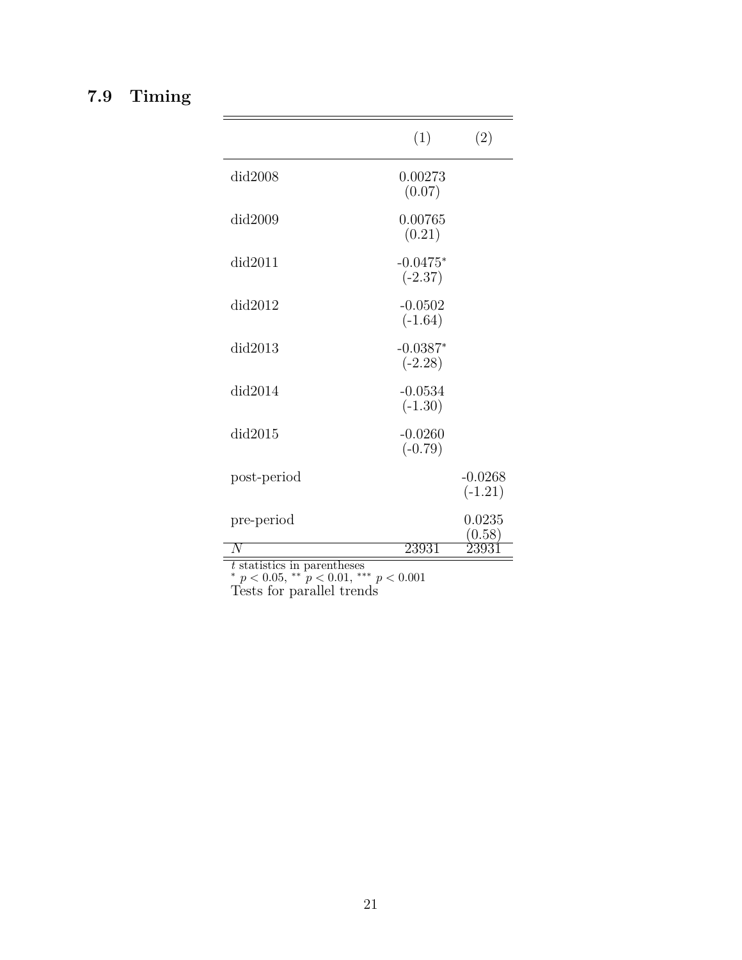# <span id="page-22-0"></span>**7.9 Timing**

 $\equiv$ 

|             | (1)                     | (2)                    |
|-------------|-------------------------|------------------------|
| did2008     | 0.00273<br>(0.07)       |                        |
| did2009     | 0.00765<br>(0.21)       |                        |
| did2011     | $-0.0475*$<br>$(-2.37)$ |                        |
| did2012     | $-0.0502$<br>$(-1.64)$  |                        |
| did2013     | $-0.0387*$<br>$(-2.28)$ |                        |
| did2014     | $-0.0534$<br>$(-1.30)$  |                        |
| did2015     | $-0.0260$<br>$(-0.79)$  |                        |
| post-period |                         | $-0.0268$<br>$(-1.21)$ |
| pre-period  |                         | 0.0235<br>(0.58)       |
|             | 23931                   |                        |

 $\equiv$ 

*t* statistics in parentheses

*<sup>∗</sup> p <* 0*.*05, *∗∗ p <* 0*.*01, *∗∗∗ p <* 0*.*001

Tests for parallel trends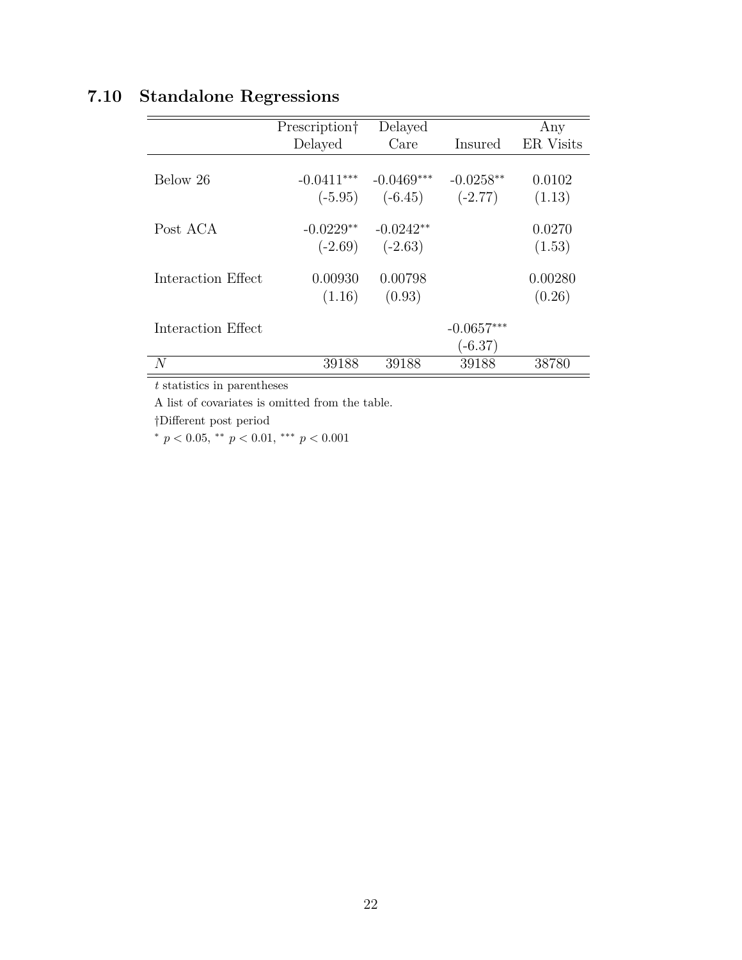# <span id="page-23-0"></span>**7.10 Standalone Regressions**

|                    | Prescription <sup>†</sup> | Delayed                             |                           | Any               |
|--------------------|---------------------------|-------------------------------------|---------------------------|-------------------|
|                    | Delayed                   | Care                                | Insured                   | ER Visits         |
| Below 26           | $-0.0411***$              | $-0.0469***$<br>$(-5.95)$ $(-6.45)$ | $-0.0258**$<br>$(-2.77)$  | 0.0102<br>(1.13)  |
| Post ACA           | $-0.0229**$<br>$(-2.69)$  | $-0.0242**$<br>$(-2.63)$            |                           | 0.0270<br>(1.53)  |
| Interaction Effect | 0.00930<br>(1.16)         | 0.00798<br>(0.93)                   |                           | 0.00280<br>(0.26) |
| Interaction Effect |                           |                                     | $-0.0657***$<br>$(-6.37)$ |                   |
| N                  | 39188                     | 39188                               | 39188                     | 38780             |

*t* statistics in parentheses

A list of covariates is omitted from the table.

*†*Different post period

*<sup>∗</sup> p <* 0*.*05, *∗∗ p <* 0*.*01, *∗∗∗ p <* 0*.*001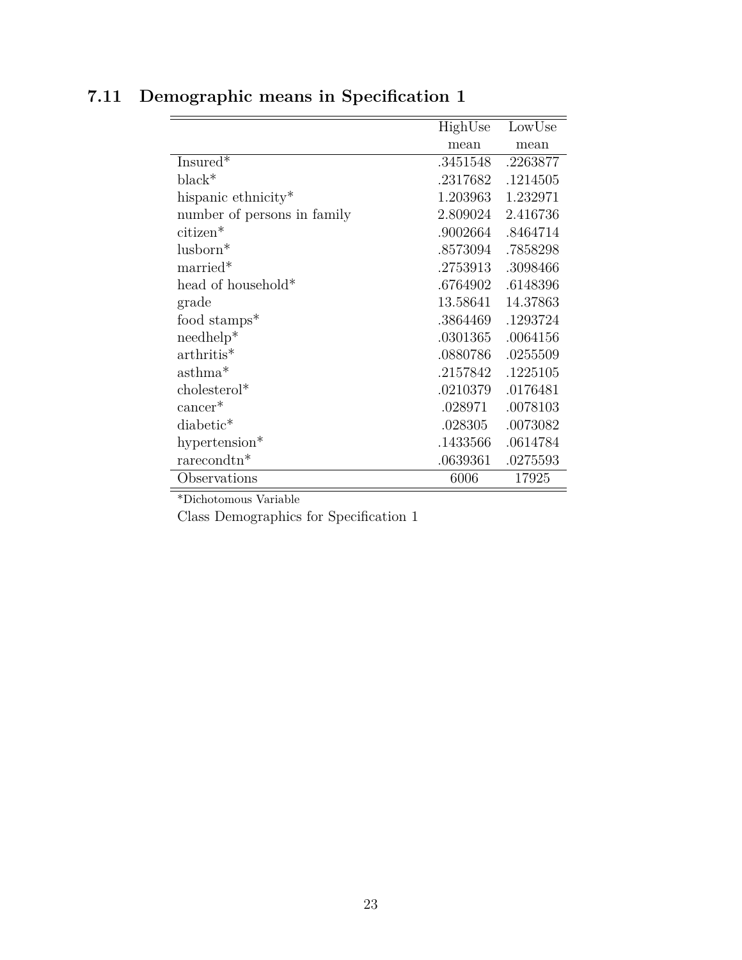|                             | HighUse  | LowUse   |
|-----------------------------|----------|----------|
|                             | mean     | mean     |
| Insure $\overline{d^*}$     | .3451548 | .2263877 |
| $black^*$                   | .2317682 | .1214505 |
| hispanic ethnicity*         | 1.203963 | 1.232971 |
| number of persons in family | 2.809024 | 2.416736 |
| citizen*                    | .9002664 | .8464714 |
| $l$ usborn $*$              | .8573094 | .7858298 |
| married*                    | .2753913 | .3098466 |
| head of household*          | .6764902 | .6148396 |
| grade                       | 13.58641 | 14.37863 |
| food stamps*                | .3864469 | .1293724 |
| $needhelp*$                 | .0301365 | .0064156 |
| $arthritis*$                | .0880786 | .0255509 |
| asthma <sup>*</sup>         | .2157842 | .1225105 |
| $cholesterol*$              | .0210379 | .0176481 |
| $cancer*$                   | .028971  | .0078103 |
| diabetic*                   | .028305  | .0073082 |
| hypertension $*$            | .1433566 | .0614784 |
| $rarecondtn*$               | .0639361 | .0275593 |
| Observations                | 6006     | 17925    |

# <span id="page-24-0"></span>**7.11 Demographic means in Specification 1**

\*Dichotomous Variable

Class Demographics for Specification 1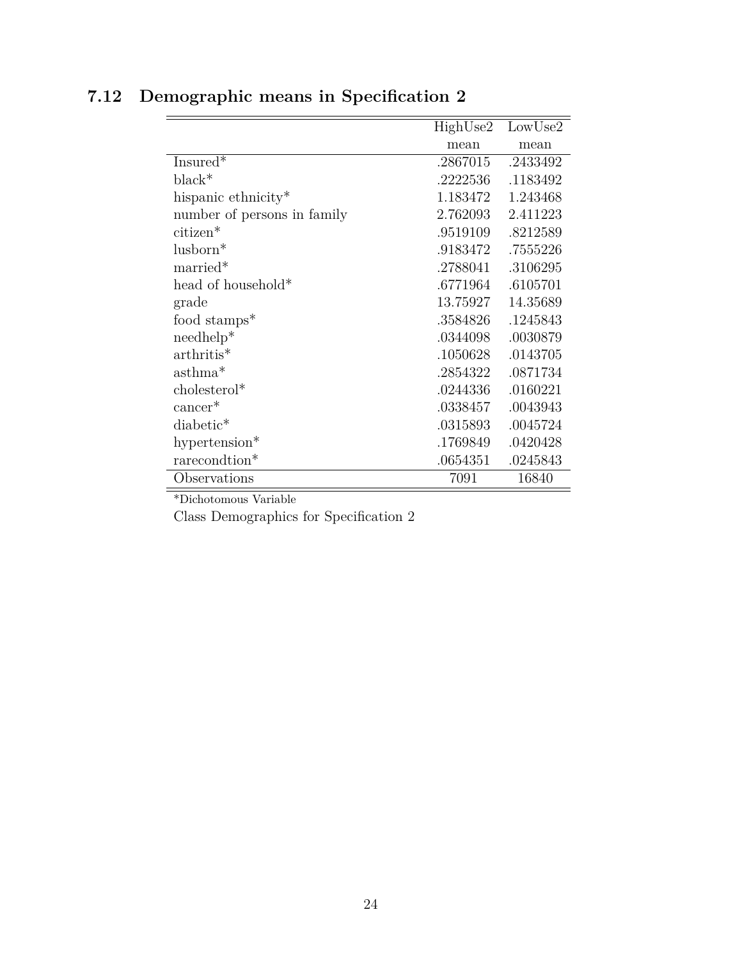|                             | HighUse2 | LowUse2  |
|-----------------------------|----------|----------|
|                             | mean     | mean     |
| Insured <sup>*</sup>        | .2867015 | .2433492 |
| $black^*$                   | .2222536 | .1183492 |
| hispanic ethnicity*         | 1.183472 | 1.243468 |
| number of persons in family | 2.762093 | 2.411223 |
| citizen*                    | .9519109 | .8212589 |
| lusborn*                    | .9183472 | .7555226 |
| married*                    | .2788041 | .3106295 |
| head of household*          | .6771964 | .6105701 |
| grade                       | 13.75927 | 14.35689 |
| food stamps*                | .3584826 | .1245843 |
| $needhelp*$                 | .0344098 | .0030879 |
| $arthritis*$                | .1050628 | .0143705 |
| $asthma*$                   | .2854322 | .0871734 |
| cholesterol*                | .0244336 | .0160221 |
| $cancer*$                   | .0338457 | .0043943 |
| diabetic*                   | .0315893 | .0045724 |
| hypertension*               | .1769849 | .0420428 |
| rarecondtion*               | .0654351 | .0245843 |
| Observations                | 7091     | 16840    |

# <span id="page-25-0"></span>**7.12 Demographic means in Specification 2**

\*Dichotomous Variable

Class Demographics for Specification 2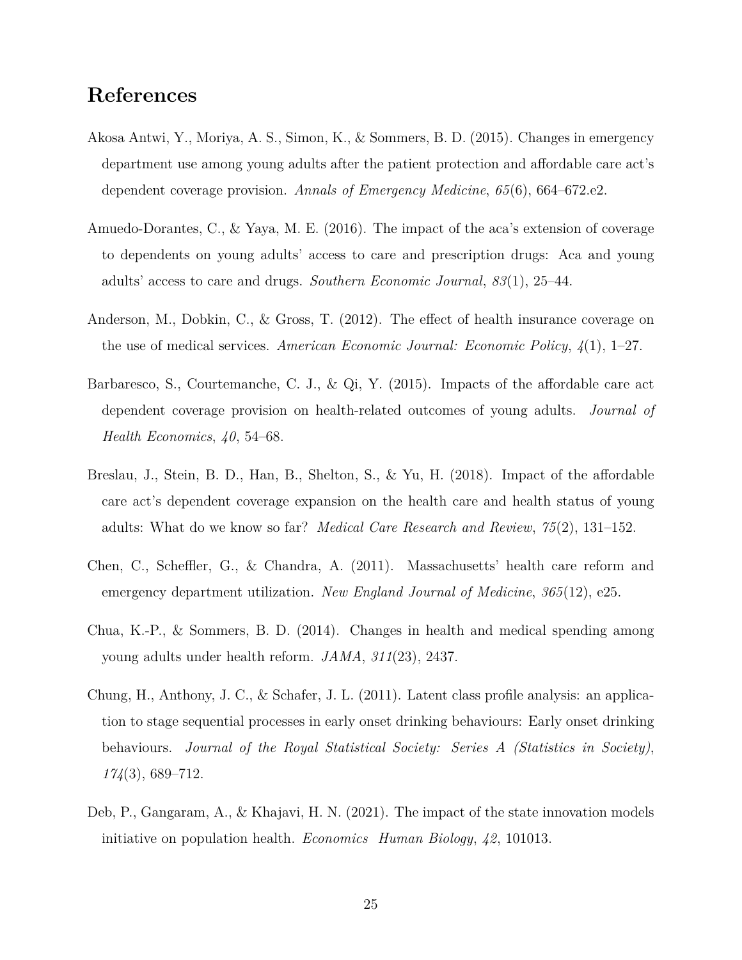## **References**

- <span id="page-26-5"></span>Akosa Antwi, Y., Moriya, A. S., Simon, K., & Sommers, B. D. (2015). Changes in emergency department use among young adults after the patient protection and affordable care act's dependent coverage provision. *Annals of Emergency Medicine*, *65*(6), 664–672.e2.
- <span id="page-26-0"></span>Amuedo-Dorantes, C., & Yaya, M. E. (2016). The impact of the aca's extension of coverage to dependents on young adults' access to care and prescription drugs: Aca and young adults' access to care and drugs. *Southern Economic Journal*, *83*(1), 25–44.
- <span id="page-26-4"></span>Anderson, M., Dobkin, C., & Gross, T. (2012). The effect of health insurance coverage on the use of medical services. *American Economic Journal: Economic Policy*, *4*(1), 1–27.
- <span id="page-26-1"></span>Barbaresco, S., Courtemanche, C. J., & Qi, Y. (2015). Impacts of the affordable care act dependent coverage provision on health-related outcomes of young adults. *Journal of Health Economics*, *40*, 54–68.
- <span id="page-26-6"></span>Breslau, J., Stein, B. D., Han, B., Shelton, S., & Yu, H. (2018). Impact of the affordable care act's dependent coverage expansion on the health care and health status of young adults: What do we know so far? *Medical Care Research and Review*, *75*(2), 131–152.
- <span id="page-26-3"></span>Chen, C., Scheffler, G., & Chandra, A. (2011). Massachusetts' health care reform and emergency department utilization. *New England Journal of Medicine*, *365*(12), e25.
- <span id="page-26-2"></span>Chua, K.-P., & Sommers, B. D. (2014). Changes in health and medical spending among young adults under health reform. *JAMA*, *311*(23), 2437.
- <span id="page-26-7"></span>Chung, H., Anthony, J. C., & Schafer, J. L. (2011). Latent class profile analysis: an application to stage sequential processes in early onset drinking behaviours: Early onset drinking behaviours. *Journal of the Royal Statistical Society: Series A (Statistics in Society)*, *174*(3), 689–712.
- <span id="page-26-8"></span>Deb, P., Gangaram, A., & Khajavi, H. N. (2021). The impact of the state innovation models initiative on population health. *Economics Human Biology*, *42*, 101013.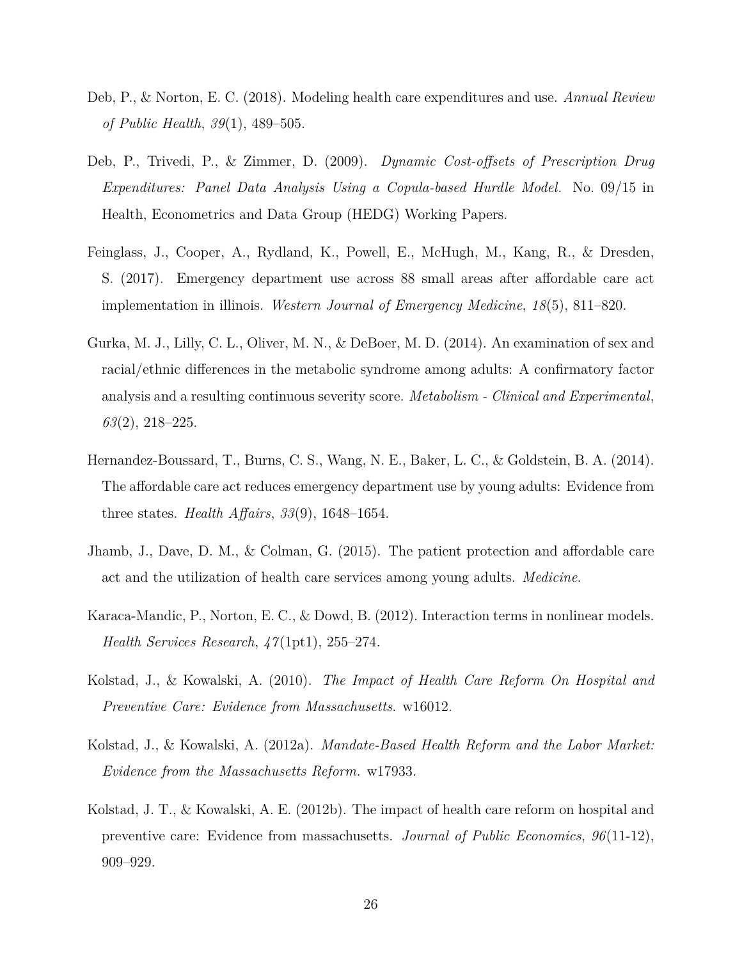- <span id="page-27-0"></span>Deb, P., & Norton, E. C. (2018). Modeling health care expenditures and use. *Annual Review of Public Health*, *39*(1), 489–505.
- <span id="page-27-3"></span>Deb, P., Trivedi, P., & Zimmer, D. (2009). *Dynamic Cost-offsets of Prescription Drug Expenditures: Panel Data Analysis Using a Copula-based Hurdle Model*. No. 09/15 in Health, Econometrics and Data Group (HEDG) Working Papers.
- <span id="page-27-6"></span>Feinglass, J., Cooper, A., Rydland, K., Powell, E., McHugh, M., Kang, R., & Dresden, S. (2017). Emergency department use across 88 small areas after affordable care act implementation in illinois. *Western Journal of Emergency Medicine*, *18*(5), 811–820.
- <span id="page-27-8"></span>Gurka, M. J., Lilly, C. L., Oliver, M. N., & DeBoer, M. D. (2014). An examination of sex and racial/ethnic differences in the metabolic syndrome among adults: A confirmatory factor analysis and a resulting continuous severity score. *Metabolism - Clinical and Experimental*, *63*(2), 218–225.
- <span id="page-27-1"></span>Hernandez-Boussard, T., Burns, C. S., Wang, N. E., Baker, L. C., & Goldstein, B. A. (2014). The affordable care act reduces emergency department use by young adults: Evidence from three states. *Health Affairs*, *33*(9), 1648–1654.
- <span id="page-27-2"></span>Jhamb, J., Dave, D. M., & Colman, G. (2015). The patient protection and affordable care act and the utilization of health care services among young adults. *Medicine*.
- <span id="page-27-9"></span>Karaca-Mandic, P., Norton, E. C., & Dowd, B. (2012). Interaction terms in nonlinear models. *Health Services Research*, *47*(1pt1), 255–274.
- <span id="page-27-7"></span>Kolstad, J., & Kowalski, A. (2010). *The Impact of Health Care Reform On Hospital and Preventive Care: Evidence from Massachusetts*. w16012.
- <span id="page-27-5"></span>Kolstad, J., & Kowalski, A. (2012a). *Mandate-Based Health Reform and the Labor Market: Evidence from the Massachusetts Reform*. w17933.
- <span id="page-27-4"></span>Kolstad, J. T., & Kowalski, A. E. (2012b). The impact of health care reform on hospital and preventive care: Evidence from massachusetts. *Journal of Public Economics*, *96*(11-12), 909–929.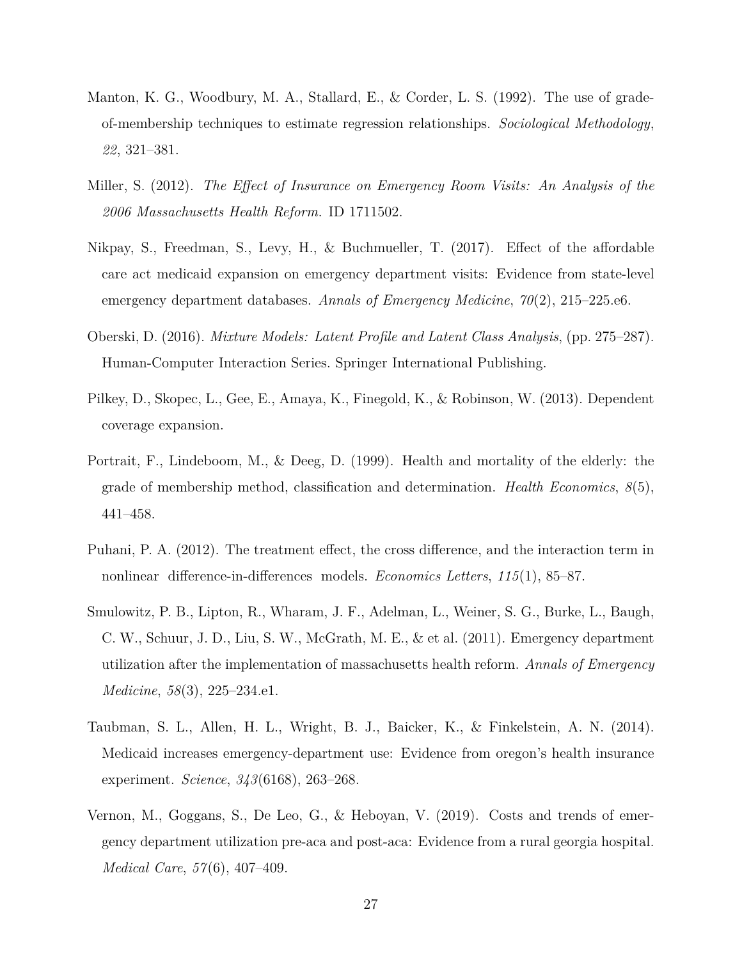- <span id="page-28-8"></span>Manton, K. G., Woodbury, M. A., Stallard, E., & Corder, L. S. (1992). The use of gradeof-membership techniques to estimate regression relationships. *Sociological Methodology*, *22*, 321–381.
- <span id="page-28-3"></span>Miller, S. (2012). *The Effect of Insurance on Emergency Room Visits: An Analysis of the 2006 Massachusetts Health Reform*. ID 1711502.
- <span id="page-28-4"></span>Nikpay, S., Freedman, S., Levy, H., & Buchmueller, T. (2017). Effect of the affordable care act medicaid expansion on emergency department visits: Evidence from state-level emergency department databases. *Annals of Emergency Medicine*, *70*(2), 215–225.e6.
- <span id="page-28-6"></span>Oberski, D. (2016). *Mixture Models: Latent Profile and Latent Class Analysis*, (pp. 275–287). Human-Computer Interaction Series. Springer International Publishing.
- <span id="page-28-0"></span>Pilkey, D., Skopec, L., Gee, E., Amaya, K., Finegold, K., & Robinson, W. (2013). Dependent coverage expansion.
- <span id="page-28-7"></span>Portrait, F., Lindeboom, M., & Deeg, D. (1999). Health and mortality of the elderly: the grade of membership method, classification and determination. *Health Economics*, *8*(5), 441–458.
- <span id="page-28-9"></span>Puhani, P. A. (2012). The treatment effect, the cross difference, and the interaction term in nonlinear difference-in-differences models. *Economics Letters*, 115(1), 85–87.
- <span id="page-28-2"></span>Smulowitz, P. B., Lipton, R., Wharam, J. F., Adelman, L., Weiner, S. G., Burke, L., Baugh, C. W., Schuur, J. D., Liu, S. W., McGrath, M. E., & et al. (2011). Emergency department utilization after the implementation of massachusetts health reform. *Annals of Emergency Medicine*, *58*(3), 225–234.e1.
- <span id="page-28-1"></span>Taubman, S. L., Allen, H. L., Wright, B. J., Baicker, K., & Finkelstein, A. N. (2014). Medicaid increases emergency-department use: Evidence from oregon's health insurance experiment. *Science*, *343*(6168), 263–268.
- <span id="page-28-5"></span>Vernon, M., Goggans, S., De Leo, G., & Heboyan, V. (2019). Costs and trends of emergency department utilization pre-aca and post-aca: Evidence from a rural georgia hospital. *Medical Care*, *57*(6), 407–409.